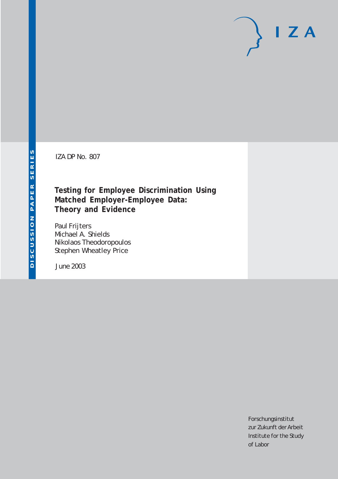IZA DP No. 807

## **Testing for Employee Discrimination Using Matched Employer-Employee Data: Theory and Evidence**

Paul Frijters Michael A. Shields Nikolaos Theodoropoulos Stephen Wheatley Price

June 2003

Forschungsinstitut zur Zukunft der Arbeit Institute for the Study of Labor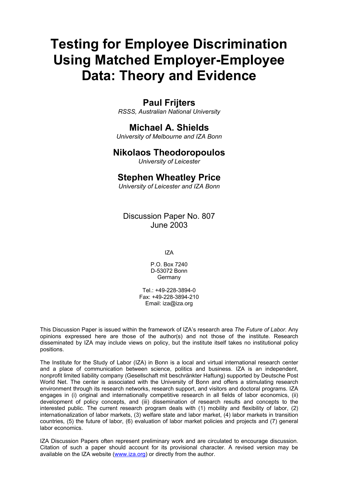# **Testing for Employee Discrimination Using Matched Employer-Employee Data: Theory and Evidence**

## **Paul Frijters**

*RSSS, Australian National University* 

## **Michael A. Shields**

*University of Melbourne and IZA Bonn*

### **Nikolaos Theodoropoulos**

*University of Leicester*

## **Stephen Wheatley Price**

*University of Leicester and IZA Bonn*

Discussion Paper No. 807 June 2003

IZA

P.O. Box 7240 D-53072 Bonn Germany

Tel.: +49-228-3894-0 Fax: +49-228-3894-210 Email: [iza@iza.org](mailto:iza@iza.org)

This Discussion Paper is issued within the framework of IZA's research area *The Future of Labor.* Any opinions expressed here are those of the author(s) and not those of the institute. Research disseminated by IZA may include views on policy, but the institute itself takes no institutional policy positions.

The Institute for the Study of Labor (IZA) in Bonn is a local and virtual international research center and a place of communication between science, politics and business. IZA is an independent, nonprofit limited liability company (Gesellschaft mit beschränkter Haftung) supported by Deutsche Post World Net. The center is associated with the University of Bonn and offers a stimulating research environment through its research networks, research support, and visitors and doctoral programs. IZA engages in (i) original and internationally competitive research in all fields of labor economics, (ii) development of policy concepts, and (iii) dissemination of research results and concepts to the interested public. The current research program deals with (1) mobility and flexibility of labor, (2) internationalization of labor markets, (3) welfare state and labor market, (4) labor markets in transition countries, (5) the future of labor, (6) evaluation of labor market policies and projects and (7) general labor economics.

IZA Discussion Papers often represent preliminary work and are circulated to encourage discussion. Citation of such a paper should account for its provisional character. A revised version may be available on the IZA website ([www.iza.org](http://www.iza.org/)) or directly from the author.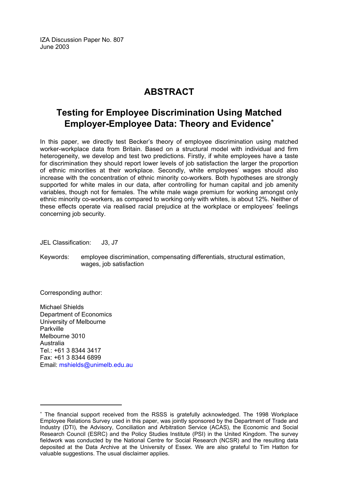IZA Discussion Paper No. 807 June 2003

## **ABSTRACT**

## **Testing for Employee Discrimination Using Matched Employer-Employee Data: Theory and Evidence**[∗](#page-2-0)

In this paper, we directly test Becker's theory of employee discrimination using matched worker-workplace data from Britain. Based on a structural model with individual and firm heterogeneity, we develop and test two predictions. Firstly, if white employees have a taste for discrimination they should report lower levels of job satisfaction the larger the proportion of ethnic minorities at their workplace. Secondly, white employees' wages should also increase with the concentration of ethnic minority co-workers. Both hypotheses are strongly supported for white males in our data, after controlling for human capital and job amenity variables, though not for females. The white male wage premium for working amongst only ethnic minority co-workers, as compared to working only with whites, is about 12%. Neither of these effects operate via realised racial prejudice at the workplace or employees' feelings concerning job security.

JEL Classification: J3, J7

Keywords: employee discrimination, compensating differentials, structural estimation, wages, job satisfaction

Corresponding author:

 $\overline{a}$ 

Michael Shields Department of Economics University of Melbourne Parkville Melbourne 3010 Australia Tel.: +61 3 8344 3417 Fax: +61 3 8344 6899 Email: [mshields@unimelb.edu.au](mailto:mshields@unimelb.edu.au) 

<span id="page-2-0"></span><sup>∗</sup> The financial support received from the RSSS is gratefully acknowledged. The 1998 Workplace Employee Relations Survey used in this paper, was jointly sponsored by the Department of Trade and Industry (DTI), the Advisory, Conciliation and Arbitration Service (ACAS), the Economic and Social Research Council (ESRC) and the Policy Studies Institute (PSI) in the United Kingdom. The survey fieldwork was conducted by the National Centre for Social Research (NCSR) and the resulting data deposited at the Data Archive at the University of Essex. We are also grateful to Tim Hatton for valuable suggestions. The usual disclaimer applies.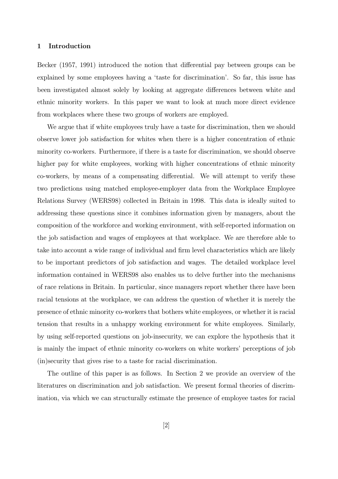#### 1 Introduction

Becker (1957, 1991) introduced the notion that differential pay between groups can be explained by some employees having a 'taste for discrimination'. So far, this issue has been investigated almost solely by looking at aggregate differences between white and ethnic minority workers. In this paper we want to look at much more direct evidence from workplaces where these two groups of workers are employed.

We argue that if white employees truly have a taste for discrimination, then we should observe lower job satisfaction for whites when there is a higher concentration of ethnic minority co-workers. Furthermore, if there is a taste for discrimination, we should observe higher pay for white employees, working with higher concentrations of ethnic minority co-workers, by means of a compensating differential. We will attempt to verify these two predictions using matched employee-employer data from the Workplace Employee Relations Survey (WERS98) collected in Britain in 1998. This data is ideally suited to addressing these questions since it combines information given by managers, about the composition of the workforce and working environment, with self-reported information on the job satisfaction and wages of employees at that workplace. We are therefore able to take into account a wide range of individual and firm level characteristics which are likely to be important predictors of job satisfaction and wages. The detailed workplace level information contained in WERS98 also enables us to delve further into the mechanisms of race relations in Britain. In particular, since managers report whether there have been racial tensions at the workplace, we can address the question of whether it is merely the presence of ethnic minority co-workers that bothers white employees, or whether it is racial tension that results in a unhappy working environment for white employees. Similarly, by using self-reported questions on job-insecurity, we can explore the hypothesis that it is mainly the impact of ethnic minority co-workers on white workers' perceptions of job (in)security that gives rise to a taste for racial discrimination.

The outline of this paper is as follows. In Section 2 we provide an overview of the literatures on discrimination and job satisfaction. We present formal theories of discrimination, via which we can structurally estimate the presence of employee tastes for racial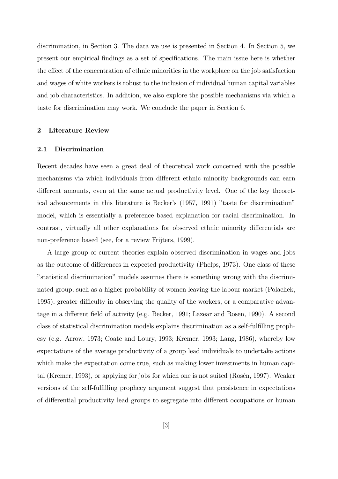discrimination, in Section 3. The data we use is presented in Section 4. In Section 5, we present our empirical findings as a set of specifications. The main issue here is whether the effect of the concentration of ethnic minorities in the workplace on the job satisfaction and wages of white workers is robust to the inclusion of individual human capital variables and job characteristics. In addition, we also explore the possible mechanisms via which a taste for discrimination may work. We conclude the paper in Section 6.

#### 2 Literature Review

#### 2.1 Discrimination

Recent decades have seen a great deal of theoretical work concerned with the possible mechanisms via which individuals from different ethnic minority backgrounds can earn different amounts, even at the same actual productivity level. One of the key theoretical advancements in this literature is Becker's (1957, 1991) "taste for discrimination" model, which is essentially a preference based explanation for racial discrimination. In contrast, virtually all other explanations for observed ethnic minority differentials are non-preference based (see, for a review Frijters, 1999).

A large group of current theories explain observed discrimination in wages and jobs as the outcome of differences in expected productivity (Phelps, 1973). One class of these "statistical discrimination" models assumes there is something wrong with the discriminated group, such as a higher probability of women leaving the labour market (Polachek, 1995), greater difficulty in observing the quality of the workers, or a comparative advantage in a different field of activity (e.g. Becker, 1991; Lazear and Rosen, 1990). A second class of statistical discrimination models explains discrimination as a self-fulfilling prophesy (e.g. Arrow, 1973; Coate and Loury, 1993; Kremer, 1993; Lang, 1986), whereby low expectations of the average productivity of a group lead individuals to undertake actions which make the expectation come true, such as making lower investments in human capital (Kremer, 1993), or applying for jobs for which one is not suited (Rosén, 1997). Weaker versions of the self-fulfilling prophecy argument suggest that persistence in expectations of differential productivity lead groups to segregate into different occupations or human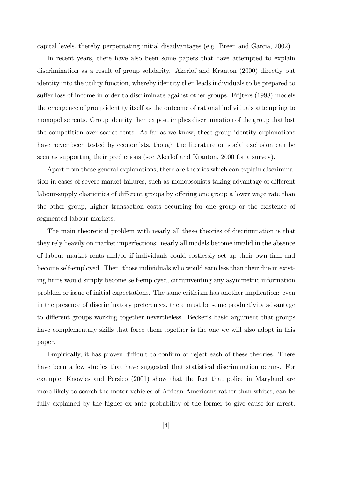capital levels, thereby perpetuating initial disadvantages (e.g. Breen and Garcia, 2002).

In recent years, there have also been some papers that have attempted to explain discrimination as a result of group solidarity. Akerlof and Kranton (2000) directly put identity into the utility function, whereby identity then leads individuals to be prepared to suffer loss of income in order to discriminate against other groups. Frijters (1998) models the emergence of group identity itself as the outcome of rational individuals attempting to monopolise rents. Group identity then ex post implies discrimination of the group that lost the competition over scarce rents. As far as we know, these group identity explanations have never been tested by economists, though the literature on social exclusion can be seen as supporting their predictions (see Akerlof and Kranton, 2000 for a survey).

Apart from these general explanations, there are theories which can explain discrimination in cases of severe market failures, such as monopsonists taking advantage of different labour-supply elasticities of different groups by offering one group a lower wage rate than the other group, higher transaction costs occurring for one group or the existence of segmented labour markets.

The main theoretical problem with nearly all these theories of discrimination is that they rely heavily on market imperfections: nearly all models become invalid in the absence of labour market rents and/or if individuals could costlessly set up their own firm and become self-employed. Then, those individuals who would earn less than their due in existing firms would simply become self-employed, circumventing any asymmetric information problem or issue of initial expectations. The same criticism has another implication: even in the presence of discriminatory preferences, there must be some productivity advantage to different groups working together nevertheless. Becker's basic argument that groups have complementary skills that force them together is the one we will also adopt in this paper.

Empirically, it has proven difficult to confirm or reject each of these theories. There have been a few studies that have suggested that statistical discrimination occurs. For example, Knowles and Persico (2001) show that the fact that police in Maryland are more likely to search the motor vehicles of African-Americans rather than whites, can be fully explained by the higher ex ante probability of the former to give cause for arrest.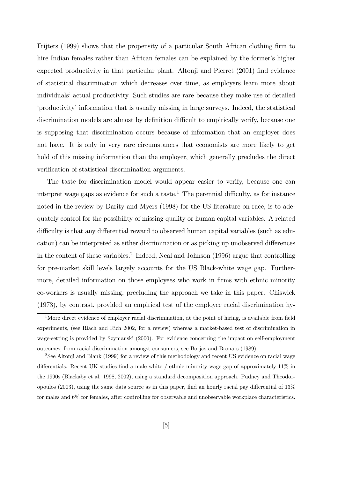Frijters (1999) shows that the propensity of a particular South African clothing firm to hire Indian females rather than African females can be explained by the former's higher expected productivity in that particular plant. Altonji and Pierret (2001) find evidence of statistical discrimination which decreases over time, as employers learn more about individuals' actual productivity. Such studies are rare because they make use of detailed 'productivity' information that is usually missing in large surveys. Indeed, the statistical discrimination models are almost by definition difficult to empirically verify, because one is supposing that discrimination occurs because of information that an employer does not have. It is only in very rare circumstances that economists are more likely to get hold of this missing information than the employer, which generally precludes the direct verification of statistical discrimination arguments.

The taste for discrimination model would appear easier to verify, because one can interpret wage gaps as evidence for such a taste.<sup>1</sup> The perennial difficulty, as for instance noted in the review by Darity and Myers (1998) for the US literature on race, is to adequately control for the possibility of missing quality or human capital variables. A related difficulty is that any differential reward to observed human capital variables (such as education) can be interpreted as either discrimination or as picking up unobserved differences in the content of these variables.<sup>2</sup> Indeed, Neal and Johnson (1996) argue that controlling for pre-market skill levels largely accounts for the US Black-white wage gap. Furthermore, detailed information on those employees who work in firms with ethnic minority co-workers is usually missing, precluding the approach we take in this paper. Chiswick (1973), by contrast, provided an empirical test of the employee racial discrimination hy-

<sup>&</sup>lt;sup>1</sup>More direct evidence of employer racial discrimination, at the point of hiring, is available from field experiments, (see Riach and Rich 2002, for a review) whereas a market-based test of discrimination in wage-setting is provided by Szymanski (2000). For evidence concerning the impact on self-employment outcomes, from racial discrimination amongst consumers, see Borjas and Bronars (1989).

<sup>&</sup>lt;sup>2</sup>See Altonji and Blank (1999) for a review of this methodology and recent US evidence on racial wage differentials. Recent UK studies find a male white / ethnic minority wage gap of approximately 11% in the 1990s (Blackaby et al. 1998, 2002), using a standard decomposition approach. Pudney and Theodoropoulos (2003), using the same data source as in this paper, find an hourly racial pay differential of 13% for males and 6% for females, after controlling for observable and unobservable workplace characteristics.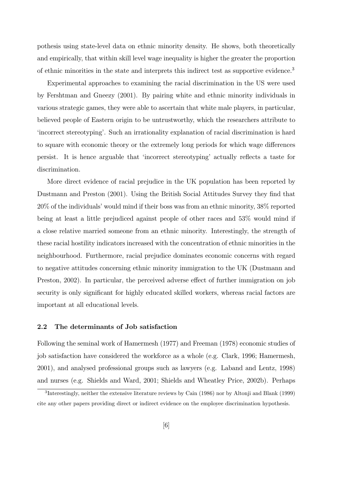pothesis using state-level data on ethnic minority density. He shows, both theoretically and empirically, that within skill level wage inequality is higher the greater the proportion of ethnic minorities in the state and interprets this indirect test as supportive evidence.<sup>3</sup>

Experimental approaches to examining the racial discrimination in the US were used by Fershtman and Gneezy (2001). By pairing white and ethnic minority individuals in various strategic games, they were able to ascertain that white male players, in particular, believed people of Eastern origin to be untrustworthy, which the researchers attribute to 'incorrect stereotyping'. Such an irrationality explanation of racial discrimination is hard to square with economic theory or the extremely long periods for which wage differences persist. It is hence arguable that 'incorrect stereotyping' actually reflects a taste for discrimination.

More direct evidence of racial prejudice in the UK population has been reported by Dustmann and Preston (2001). Using the British Social Attitudes Survey they find that 20% of the individuals' would mind if their boss was from an ethnic minority, 38% reported being at least a little prejudiced against people of other races and 53% would mind if a close relative married someone from an ethnic minority. Interestingly, the strength of these racial hostility indicators increased with the concentration of ethnic minorities in the neighbourhood. Furthermore, racial prejudice dominates economic concerns with regard to negative attitudes concerning ethnic minority immigration to the UK (Dustmann and Preston, 2002). In particular, the perceived adverse effect of further immigration on job security is only significant for highly educated skilled workers, whereas racial factors are important at all educational levels.

#### 2.2 The determinants of Job satisfaction

Following the seminal work of Hamermesh (1977) and Freeman (1978) economic studies of job satisfaction have considered the workforce as a whole (e.g. Clark, 1996; Hamermesh, 2001), and analysed professional groups such as lawyers (e.g. Laband and Lentz, 1998) and nurses (e.g. Shields and Ward, 2001; Shields and Wheatley Price, 2002b). Perhaps

<sup>3</sup>Interestingly, neither the extensive literature reviews by Cain (1986) nor by Altonji and Blank (1999) cite any other papers providing direct or indirect evidence on the employee discrimination hypothesis.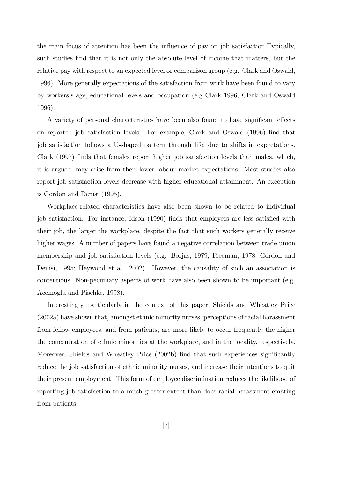the main focus of attention has been the influence of pay on job satisfaction.Typically, such studies find that it is not only the absolute level of income that matters, but the relative pay with respect to an expected level or comparison group (e.g. Clark and Oswald, 1996). More generally expectations of the satisfaction from work have been found to vary by workers's age, educational levels and occupation (e.g Clark 1996; Clark and Oswald 1996).

A variety of personal characteristics have been also found to have significant effects on reported job satisfaction levels. For example, Clark and Oswald (1996) find that job satisfaction follows a U-shaped pattern through life, due to shifts in expectations. Clark (1997) finds that females report higher job satisfaction levels than males, which, it is argued, may arise from their lower labour market expectations. Most studies also report job satisfaction levels decrease with higher educational attainment. An exception is Gordon and Denisi (1995).

Workplace-related characteristics have also been shown to be related to individual job satisfaction. For instance, Idson (1990) finds that employees are less satisfied with their job, the larger the workplace, despite the fact that such workers generally receive higher wages. A number of papers have found a negative correlation between trade union membership and job satisfaction levels (e.g. Borjas, 1979; Freeman, 1978; Gordon and Denisi, 1995; Heywood et al., 2002). However, the causality of such an association is contentious. Non-pecuniary aspects of work have also been shown to be important (e.g. Acemoglu and Pischke, 1998).

Interestingly, particularly in the context of this paper, Shields and Wheatley Price (2002a) have shown that, amongst ethnic minority nurses, perceptions of racial harassment from fellow employees, and from patients, are more likely to occur frequently the higher the concentration of ethnic minorities at the workplace, and in the locality, respectively. Moreover, Shields and Wheatley Price (2002b) find that such experiences significantly reduce the job satisfaction of ethnic minority nurses, and increase their intentions to quit their present employment. This form of employee discrimination reduces the likelihood of reporting job satisfaction to a much greater extent than does racial harassment emating from patients.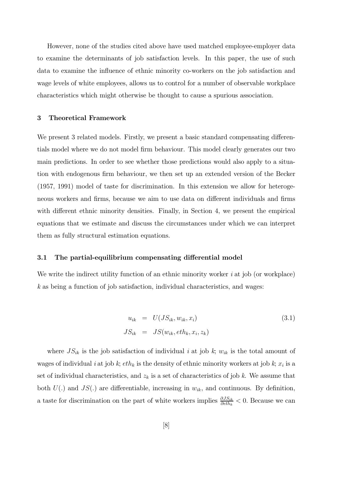However, none of the studies cited above have used matched employee-employer data to examine the determinants of job satisfaction levels. In this paper, the use of such data to examine the influence of ethnic minority co-workers on the job satisfaction and wage levels of white employees, allows us to control for a number of observable workplace characteristics which might otherwise be thought to cause a spurious association.

#### 3 Theoretical Framework

We present 3 related models. Firstly, we present a basic standard compensating differentials model where we do not model firm behaviour. This model clearly generates our two main predictions. In order to see whether those predictions would also apply to a situation with endogenous firm behaviour, we then set up an extended version of the Becker (1957, 1991) model of taste for discrimination. In this extension we allow for heterogeneous workers and firms, because we aim to use data on different individuals and firms with different ethnic minority densities. Finally, in Section 4, we present the empirical equations that we estimate and discuss the circumstances under which we can interpret them as fully structural estimation equations.

#### 3.1 The partial-equilibrium compensating differential model

We write the indirect utility function of an ethnic minority worker  $i$  at job (or workplace)  $k$  as being a function of job satisfaction, individual characteristics, and wages:

$$
u_{ik} = U(JS_{ik}, w_{ik}, x_i)
$$
  
\n
$$
JS_{ik} = JS(w_{ik}, eth_k, x_i, z_k)
$$
\n(3.1)

where  $JS_{ik}$  is the job satisfaction of individual i at job k;  $w_{ik}$  is the total amount of wages of individual *i* at job k;  $eth_k$  is the density of ethnic minority workers at job k;  $x_i$  is a set of individual characteristics, and  $z_k$  is a set of characteristics of job k. We assume that both  $U(.)$  and  $JS(.)$  are differentiable, increasing in  $w_{ik}$ , and continuous. By definition, a taste for discrimination on the part of white workers implies  $\frac{\partial JS_{ik}}{\partial eth_k} < 0$ . Because we can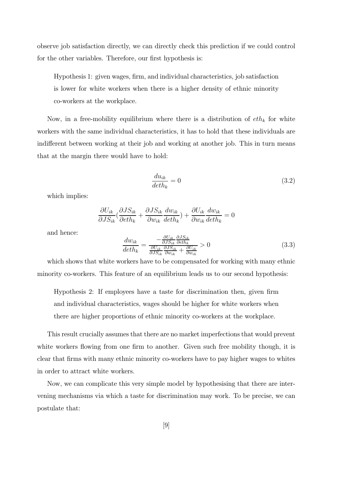observe job satisfaction directly, we can directly check this prediction if we could control for the other variables. Therefore, our first hypothesis is:

Hypothesis 1: given wages, firm, and individual characteristics, job satisfaction is lower for white workers when there is a higher density of ethnic minority co-workers at the workplace.

Now, in a free-mobility equilibrium where there is a distribution of  $eth_k$  for white workers with the same individual characteristics, it has to hold that these individuals are indifferent between working at their job and working at another job. This in turn means that at the margin there would have to hold:

$$
\frac{du_{ik}}{det h_k} = 0\tag{3.2}
$$

which implies:

$$
\frac{\partial U_{ik}}{\partial JS_{ik}} \left( \frac{\partial JS_{ik}}{\partial eth_k} + \frac{\partial JS_{ik}}{\partial w_{ik}} \frac{dw_{ik}}{deth_k} \right) + \frac{\partial U_{ik}}{\partial w_{ik}} \frac{dw_{ik}}{deth_k} = 0
$$

and hence:

$$
\frac{dw_{ik}}{det h_k} = \frac{-\frac{\partial U_{ik}}{\partial JS_{ik}} \frac{\partial JS_{ik}}{\partial eth_k}}{\frac{\partial U_{ik}}{\partial JS_{ik}} \frac{\partial JS_{ik}}{\partial w_{ik}} + \frac{\partial U_{ik}}{\partial w_{ik}}} > 0
$$
\n(3.3)

which shows that white workers have to be compensated for working with many ethnic minority co-workers. This feature of an equilibrium leads us to our second hypothesis:

Hypothesis 2: If employees have a taste for discrimination then, given firm and individual characteristics, wages should be higher for white workers when there are higher proportions of ethnic minority co-workers at the workplace.

This result crucially assumes that there are no market imperfections that would prevent white workers flowing from one firm to another. Given such free mobility though, it is clear that firms with many ethnic minority co-workers have to pay higher wages to whites in order to attract white workers.

Now, we can complicate this very simple model by hypothesising that there are intervening mechanisms via which a taste for discrimination may work. To be precise, we can postulate that: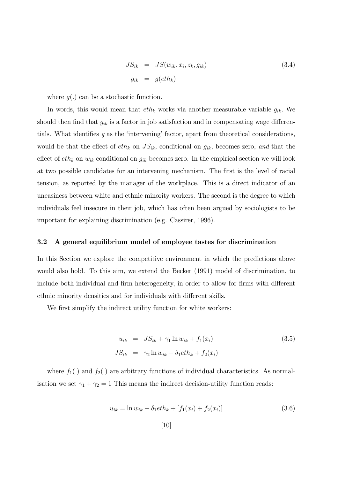$$
JS_{ik} = JS(w_{ik}, x_i, z_k, g_{ik})
$$
\n
$$
g_{ik} = g(eth_k)
$$
\n(3.4)

where  $g(.)$  can be a stochastic function.

In words, this would mean that  $eth_k$  works via another measurable variable  $g_{ik}$ . We should then find that  $g_{ik}$  is a factor in job satisfaction and in compensating wage differentials. What identifies g as the 'intervening' factor, apart from theoretical considerations, would be that the effect of  $eth_k$  on  $JS_{ik}$ , conditional on  $g_{ik}$ , becomes zero, and that the effect of  $e^{th_k}$  on  $w_{ik}$  conditional on  $g_{ik}$  becomes zero. In the empirical section we will look at two possible candidates for an intervening mechanism. The first is the level of racial tension, as reported by the manager of the workplace. This is a direct indicator of an uneasiness between white and ethnic minority workers. The second is the degree to which individuals feel insecure in their job, which has often been argued by sociologists to be important for explaining discrimination (e.g. Cassirer, 1996).

#### 3.2 A general equilibrium model of employee tastes for discrimination

In this Section we explore the competitive environment in which the predictions above would also hold. To this aim, we extend the Becker (1991) model of discrimination, to include both individual and firm heterogeneity, in order to allow for firms with different ethnic minority densities and for individuals with different skills.

We first simplify the indirect utility function for white workers:

$$
u_{ik} = JS_{ik} + \gamma_1 \ln w_{ik} + f_1(x_i)
$$
\n
$$
JS_{ik} = \gamma_2 \ln w_{ik} + \delta_1 eth_k + f_2(x_i)
$$
\n(3.5)

where  $f_1(.)$  and  $f_2(.)$  are arbitrary functions of individual characteristics. As normalisation we set  $\gamma_1 + \gamma_2 = 1$  This means the indirect decision-utility function reads:

$$
u_{ik} = \ln w_{ik} + \delta_1 eth_k + [f_1(x_i) + f_2(x_i)] \tag{3.6}
$$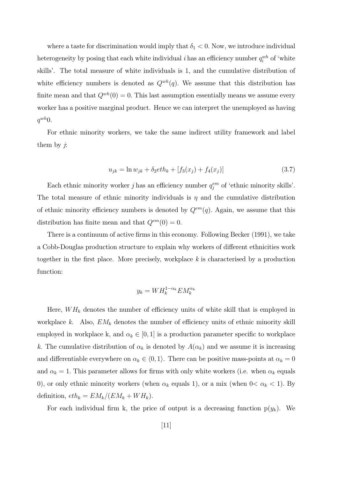where a taste for discrimination would imply that  $\delta_1 < 0$ . Now, we introduce individual heterogeneity by posing that each white individual *i* has an efficiency number  $q_i^{wh}$  of 'white skills'. The total measure of white individuals is 1, and the cumulative distribution of white efficiency numbers is denoted as  $Q^{wh}(q)$ . We assume that this distribution has finite mean and that  $Q^{wh}(0) = 0$ . This last assumption essentially means we assume every worker has a positive marginal product. Hence we can interpret the unemployed as having  $q^{wh}$ 0.

For ethnic minority workers, we take the same indirect utility framework and label them by  $\dot{y}$ :

$$
u_{jk} = \ln w_{jk} + \delta_2 eth_k + [f_3(x_j) + f_4(x_j)]
$$
\n(3.7)

Each ethnic minority worker j has an efficiency number  $q_j^{em}$  of 'ethnic minority skills'. The total measure of ethnic minority individuals is  $\eta$  and the cumulative distribution of ethnic minority efficiency numbers is denoted by  $Q^{em}(q)$ . Again, we assume that this distribution has finite mean and that  $Q^{em}(0) = 0$ .

There is a continuum of active firms in this economy. Following Becker (1991), we take a Cobb-Douglas production structure to explain why workers of different ethnicities work together in the first place. More precisely, workplace  $k$  is characterised by a production function:

$$
y_k = W H_k^{1-\alpha_k} E M_k^{\alpha_k}
$$

Here,  $WH_k$  denotes the number of efficiency units of white skill that is employed in workplace k. Also,  $EM_k$  denotes the number of efficiency units of ethnic minority skill employed in workplace k, and  $\alpha_k \in [0,1]$  is a production parameter specific to workplace k. The cumulative distribution of  $\alpha_k$  is denoted by  $A(\alpha_k)$  and we assume it is increasing and differentiable everywhere on  $\alpha_k \in \langle 0, 1 \rangle$ . There can be positive mass-points at  $\alpha_k = 0$ and  $\alpha_k = 1$ . This parameter allows for firms with only white workers (i.e. when  $\alpha_k$  equals 0), or only ethnic minority workers (when  $\alpha_k$  equals 1), or a mix (when  $0 < \alpha_k < 1$ ). By definition,  $eth_k = EM_k/(EM_k + WH_k)$ .

For each individual firm k, the price of output is a decreasing function  $p(y_k)$ . We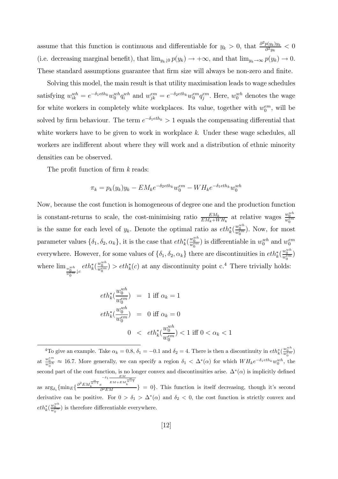assume that this function is continuous and differentiable for  $y_k > 0$ , that  $\frac{\partial^2 p(y_k)y_k}{\partial^2 y_k} < 0$ (i.e. decreasing marginal benefit), that  $\lim_{y_k \downarrow 0} p(y_k) \to +\infty$ , and that  $\lim_{y_k \to \infty} p(y_k) \to 0$ . These standard assumptions guarantee that firm size will always be non-zero and finite.

Solving this model, the main result is that utility maximisation leads to wage schedules satisfying  $w_{ik}^{wh} = e^{-\delta_1 e t h_k} w_0^{wh} q_i^{wh}$  and  $w_{jk}^{em} = e^{-\delta_2 e t h_k} w_0^{em} q_j^{em}$ . Here,  $w_0^{wh}$  denotes the wage for white workers in completely white workplaces. Its value, together with  $w_0^{em}$ , will be solved by firm behaviour. The term  $e^{-\delta_1 e t h_k} > 1$  equals the compensating differential that white workers have to be given to work in workplace k. Under these wage schedules, all workers are indifferent about where they will work and a distribution of ethnic minority densities can be observed.

The profit function of firm k reads:

$$
\pi_k = p_k(y_k)y_k - EM_k e^{-\delta_2 eth_k} w_0^{em} - WH_k e^{-\delta_1 eth_k} w_0^{wh}
$$

Now, because the cost function is homogeneous of degree one and the production function is constant-returns to scale, the cost-minimising ratio  $\frac{EM_k}{EM_k+WH_k}$  at relative wages  $\frac{w_0^{wh}}{w_0^{em}}$ is the same for each level of  $y_k$ . Denote the optimal ratio as  $eth_k^*(\frac{w_0^{wh}}{w_0^{em}})$ . Now, for most parameter values  $\{\delta_1, \delta_2, \alpha_k\}$ , it is the case that  $eth_k^*(\frac{w_0^{wh}}{w_0^{em}})$  is differentiable in  $w_0^{wh}$  and  $w_0^{em}$ everywhere. However, for some values of  $\{\delta_1, \delta_2, \alpha_k\}$  there are discontinuities in  $eth_k^*(\frac{w_0^{wh}}{w_0^{em}})$ 0 where  $\lim_{w_0^{em} \downarrow c}$  $e^{th}\frac{w_0^{wh}}{w_0^{em}} > e^{th}\frac{k}{k}(c)$  at any discontinuity point c.<sup>4</sup> There trivially holds:

$$
eth_k^*(\frac{w_0^{wh}}{w_0^{em}}) = 1 \text{ iff } \alpha_k = 1
$$
  

$$
eth_k^*(\frac{w_0^{wh}}{w_0^{em}}) = 0 \text{ iff } \alpha_k = 0
$$
  

$$
0 < eth_k^*(\frac{w_0^{wh}}{w_0^{em}}) < 1 \text{ iff } 0 < \alpha_k < 1
$$

<sup>4</sup>To give an example. Take  $\alpha_k = 0.8$ ,  $\delta_1 = -0.1$  and  $\delta_2 = 4$ . There is then a discontinuity in  $eth_k^*(\frac{w_0^{wh}}{w_0^{em}})$ at  $\frac{w_0^{em}}{w_0^{wh}} \approx 16.7$ . More generally, we can specify a region  $\delta_1 < \Delta^*(\alpha)$  for which  $WH_k e^{-\delta_1 eth_k} w_0^{wh}$ , the second part of the cost function, is no longer convex and discontinuities arise.  $\Delta^*(\alpha)$  is implicitly defined as  $\arg_{\delta_1} \{ \min_E \{ \frac{\partial^2 EM_k^{\frac{\alpha}{\alpha-1}} e}{\delta} \}$  $\frac{e^{-\delta_1} E M}{\sqrt{E M + E M_k^{\alpha-1}}}$  = 0}. This function is itself decreasing, though it's second derivative can be positive. For  $0 > \delta_1 > \Delta^*(\alpha)$  and  $\delta_2 < 0$ , the cost function is strictly convex and  $eth_k^*(\frac{w_0^{wh}}{w_0^{em}})$  is therefore differentiable everywhere.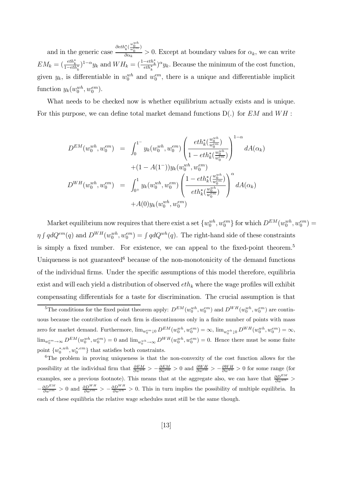and in the generic case  $\frac{\partial eth_k^*(\frac{w_0^{wh}}{w_0^{em}})}{\partial \alpha_k} > 0$ . Except at boundary values for  $\alpha_k$ , we can write  $EM_k = \left(\frac{eth_k^*}{1-eth_k^*}\right)^{1-\alpha} y_k$  and  $WH_k = \left(\frac{1-eth_k^*}{eth_k^*}\right)^{\alpha} y_k$ . Because the minimum of the cost function, given  $y_k$ , is differentiable in  $w_0^{wh}$  and  $w_0^{em}$ , there is a unique and differentiable implicit function  $y_k(w_0^{wh}, w_0^{em})$ .

What needs to be checked now is whether equilibrium actually exists and is unique. For this purpose, we can define total market demand functions  $D(.)$  for  $EM$  and  $WH$ :

$$
D^{EM}(w_0^{wh}, w_0^{em}) = \int_0^{1^-} y_k(w_0^{wh}, w_0^{em}) \left(\frac{eth_k^*(\frac{w_0^{wh}}{w_0^{em}})}{1 - eth_k^*(\frac{w_0^{wh}}{w_0^{em}})}\right)^{1-\alpha} dA(\alpha_k)
$$
  
+ 
$$
(1 - A(1^-))y_k(w_0^{wh}, w_0^{em})
$$
  

$$
D^{WH}(w_0^{wh}, w_0^{em}) = \int_{0^+}^1 y_k(w_0^{wh}, w_0^{em}) \left(\frac{1 - eth_k^*(\frac{w_0^{wh}}{w_0^{em}})}{eth_k^*(\frac{w_0^{wh}}{w_0^{em}})}\right)^{\alpha} dA(\alpha_k)
$$
  
+ 
$$
A(0)y_k(w_0^{wh}, w_0^{em})
$$

Market equilibrium now requires that there exist a set  $\{w_0^{wh}, w_0^{em}\}$  for which  $D^{EM}(w_0^{wh}, w_0^{em}) =$  $\eta \int q dQ^{em}(q)$  and  $D^{WH}(w_0^{wh}, w_0^{em}) = \int q dQ^{wh}(q)$ . The right-hand side of these constraints is simply a fixed number. For existence, we can appeal to the fixed-point theorem.<sup>5</sup> Uniqueness is not guaranteed<sup> $6$ </sup> because of the non-monotonicity of the demand functions of the individual firms. Under the specific assumptions of this model therefore, equilibria exist and will each yield a distribution of observed  $eth_k$  where the wage profiles will exhibit compensating differentials for a taste for discrimination. The crucial assumption is that

<sup>&</sup>lt;sup>5</sup>The conditions for the fixed point theorem apply:  $D^{EM}(w_0^{wh}, w_0^{em})$  and  $D^{WH}(w_0^{wh}, w_0^{em})$  are continuous because the contribution of each firm is discontinuous only in a finite number of points with mass zero for market demand. Furthermore,  $\lim_{w_0^{em}\downarrow 0} D^{EM}(w_0^{wh}, w_0^{em}) = \infty$ ,  $\lim_{w_0^{wh}\downarrow 0} D^{WH}(w_0^{wh}, w_0^{em}) = \infty$ ,  $\lim_{w_0^{em}\to\infty}D^{EM}(w_0^{wh},w_0^{em})=0$  and  $\lim_{w_0^{wh}\to\infty}D^{WH}(w_0^{wh},w_0^{em})=0$ . Hence there must be some finite point  $\{w_0^{*,wh}, w_0^{*,em}\}\)$  that satisfies both constraints.

<sup>&</sup>lt;sup>6</sup>The problem in proving uniqueness is that the non-convexity of the cost function allows for the possibility at the individual firm that  $\frac{\partial EM}{\partial w^{wh}} > -\frac{\partial EM}{\partial w^{em}} > 0$  and  $\frac{\partial WH}{\partial w^{em}} > -\frac{\partial WH}{\partial w^{wh}} > 0$  for some range (for examples, see a previous footnote). This means that at the aggregate also, we can have that  $\frac{\partial D^{EM}}{\partial w^{wh}}$  >  $-\frac{\partial D^{EM}}{\partial w^{em}} > 0$  and  $\frac{\partial D^{WH}}{\partial w^{em}} > -\frac{\partial D^{WH}}{\partial w^{wh}} > 0$ . This in turn implies the possibility of multiple equilibria. In each of these equilibria the relative wage schedules must still be the same though.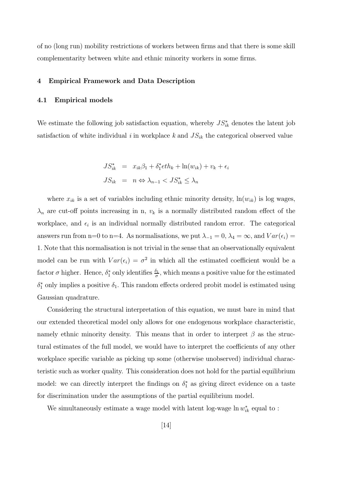of no (long run) mobility restrictions of workers between firms and that there is some skill complementarity between white and ethnic minority workers in some firms.

#### 4 Empirical Framework and Data Description

#### 4.1 Empirical models

We estimate the following job satisfaction equation, whereby  $JS_{ik}^*$  denotes the latent job satisfaction of white individual i in workplace k and  $JS_{ik}$  the categorical observed value

$$
JS_{ik}^{*} = x_{ik}\beta_1 + \delta_1^* \text{ } \epsilon \text{ } t h_k + \ln(w_{ik}) + v_k + \epsilon_i
$$
  

$$
JS_{ik} = n \Leftrightarrow \lambda_{n-1} < JS_{ik}^{*} \leq \lambda_n
$$

where  $x_{ik}$  is a set of variables including ethnic minority density,  $\ln(w_{ik})$  is log wages,  $\lambda_n$  are cut-off points increasing in n,  $v_k$  is a normally distributed random effect of the workplace, and  $\epsilon_i$  is an individual normally distributed random error. The categorical answers run from n=0 to n=4. As normalisations, we put  $\lambda_{-1} = 0$ ,  $\lambda_4 = \infty$ , and  $Var(\epsilon_i) =$ 1. Note that this normalisation is not trivial in the sense that an observationally equivalent model can be run with  $Var(\epsilon_i) = \sigma^2$  in which all the estimated coefficient would be a factor  $\sigma$  higher. Hence,  $\delta_1^*$  only identifies  $\frac{\delta_1}{\sigma}$ , which means a positive value for the estimated  $\delta_1^*$  only implies a positive  $\delta_1$ . This random effects ordered probit model is estimated using Gaussian quadrature.

Considering the structural interpretation of this equation, we must bare in mind that our extended theoretical model only allows for one endogenous workplace characteristic, namely ethnic minority density. This means that in order to interpret  $\beta$  as the structural estimates of the full model, we would have to interpret the coefficients of any other workplace specific variable as picking up some (otherwise unobserved) individual characteristic such as worker quality. This consideration does not hold for the partial equilibrium model: we can directly interpret the findings on  $\delta_1^*$  as giving direct evidence on a taste for discrimination under the assumptions of the partial equilibrium model.

We simultaneously estimate a wage model with latent log-wage  $\ln w_{ik}^*$  equal to :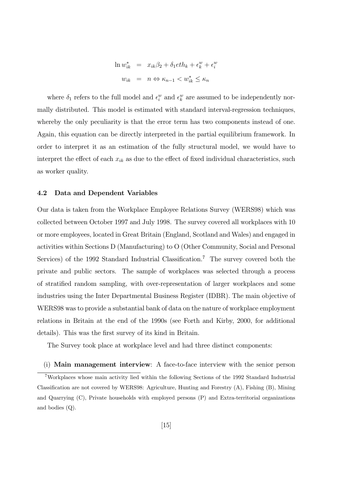$$
\ln w_{ik}^* = x_{ik}\beta_2 + \delta_1 e t h_k + \epsilon_k^w + \epsilon_i^w
$$

$$
w_{ik} = n \Leftrightarrow \kappa_{n-1} < w_{ik}^* \le \kappa_n
$$

where  $\delta_1$  refers to the full model and  $\epsilon_i^w$  and  $\epsilon_k^w$  are assumed to be independently normally distributed. This model is estimated with standard interval-regression techniques, whereby the only peculiarity is that the error term has two components instead of one. Again, this equation can be directly interpreted in the partial equilibrium framework. In order to interpret it as an estimation of the fully structural model, we would have to interpret the effect of each  $x_{ik}$  as due to the effect of fixed individual characteristics, such as worker quality.

#### 4.2 Data and Dependent Variables

Our data is taken from the Workplace Employee Relations Survey (WERS98) which was collected between October 1997 and July 1998. The survey covered all workplaces with 10 or more employees, located in Great Britain (England, Scotland and Wales) and engaged in activities within Sections D (Manufacturing) to O (Other Community, Social and Personal Services) of the 1992 Standard Industrial Classification.<sup>7</sup> The survey covered both the private and public sectors. The sample of workplaces was selected through a process of stratified random sampling, with over-representation of larger workplaces and some industries using the Inter Departmental Business Register (IDBR). The main objective of WERS98 was to provide a substantial bank of data on the nature of workplace employment relations in Britain at the end of the 1990s (see Forth and Kirby, 2000, for additional details). This was the first survey of its kind in Britain.

The Survey took place at workplace level and had three distinct components:

(i) Main management interview: A face-to-face interview with the senior person

<sup>7</sup>Workplaces whose main activity lied within the following Sections of the 1992 Standard Industrial Classification are not covered by WERS98: Agriculture, Hunting and Forestry (A), Fishing (B), Mining and Quarrying (C), Private households with employed persons (P) and Extra-territorial organizations and bodies (Q).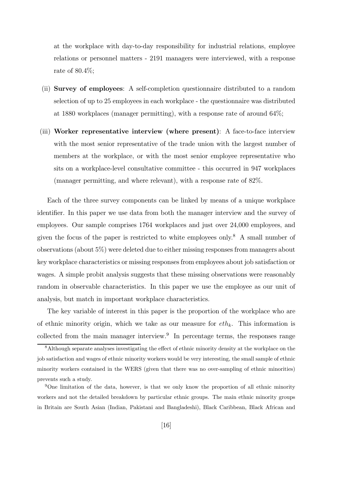at the workplace with day-to-day responsibility for industrial relations, employee relations or personnel matters - 2191 managers were interviewed, with a response rate of 80.4%;

- (ii) Survey of employees: A self-completion questionnaire distributed to a random selection of up to 25 employees in each workplace - the questionnaire was distributed at 1880 workplaces (manager permitting), with a response rate of around 64%;
- (iii) Worker representative interview (where present): A face-to-face interview with the most senior representative of the trade union with the largest number of members at the workplace, or with the most senior employee representative who sits on a workplace-level consultative committee - this occurred in 947 workplaces (manager permitting, and where relevant), with a response rate of 82%.

Each of the three survey components can be linked by means of a unique workplace identifier. In this paper we use data from both the manager interview and the survey of employees. Our sample comprises 1764 workplaces and just over 24,000 employees, and given the focus of the paper is restricted to white employees only.<sup>8</sup> A small number of observations (about 5%) were deleted due to either missing responses from managers about key workplace characteristics or missing responses from employees about job satisfaction or wages. A simple probit analysis suggests that these missing observations were reasonably random in observable characteristics. In this paper we use the employee as our unit of analysis, but match in important workplace characteristics.

The key variable of interest in this paper is the proportion of the workplace who are of ethnic minority origin, which we take as our measure for  $eth_k$ . This information is collected from the main manager interview.<sup>9</sup> In percentage terms, the responses range

<sup>8</sup>Although separate analyses investigating the effect of ethnic minority density at the workplace on the job satisfaction and wages of ethnic minority workers would be very interesting, the small sample of ethnic minority workers contained in the WERS (given that there was no over-sampling of ethnic minorities) prevents such a study.

<sup>&</sup>lt;sup>9</sup>One limitation of the data, however, is that we only know the proportion of all ethnic minority workers and not the detailed breakdown by particular ethnic groups. The main ethnic minority groups in Britain are South Asian (Indian, Pakistani and Bangladeshi), Black Caribbean, Black African and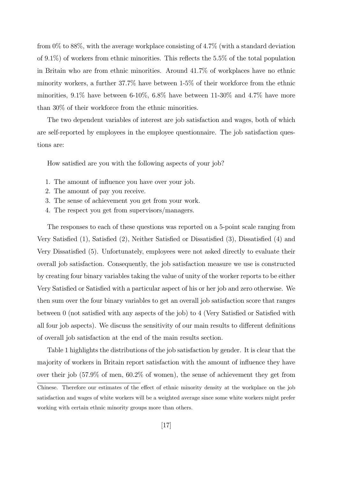from 0% to 88%, with the average workplace consisting of 4.7% (with a standard deviation of 9.1%) of workers from ethnic minorities. This reflects the 5.5% of the total population in Britain who are from ethnic minorities. Around 41.7% of workplaces have no ethnic minority workers, a further 37.7% have between 1-5% of their workforce from the ethnic minorities,  $9.1\%$  have between  $6-10\%$ ,  $6.8\%$  have between  $11-30\%$  and  $4.7\%$  have more than 30% of their workforce from the ethnic minorities.

The two dependent variables of interest are job satisfaction and wages, both of which are self-reported by employees in the employee questionnaire. The job satisfaction questions are:

How satisfied are you with the following aspects of your job?

- 1. The amount of influence you have over your job.
- 2. The amount of pay you receive.
- 3. The sense of achievement you get from your work.
- 4. The respect you get from supervisors/managers.

The responses to each of these questions was reported on a 5-point scale ranging from Very Satisfied (1), Satisfied (2), Neither Satisfied or Dissatisfied (3), Dissatisfied (4) and Very Dissatisfied (5). Unfortunately, employees were not asked directly to evaluate their overall job satisfaction. Consequently, the job satisfaction measure we use is constructed by creating four binary variables taking the value of unity of the worker reports to be either Very Satisfied or Satisfied with a particular aspect of his or her job and zero otherwise. We then sum over the four binary variables to get an overall job satisfaction score that ranges between 0 (not satisfied with any aspects of the job) to 4 (Very Satisfied or Satisfied with all four job aspects). We discuss the sensitivity of our main results to different definitions of overall job satisfaction at the end of the main results section.

Table 1 highlights the distributions of the job satisfaction by gender. It is clear that the majority of workers in Britain report satisfaction with the amount of influence they have over their job (57.9% of men, 60.2% of women), the sense of achievement they get from

Chinese. Therefore our estimates of the effect of ethnic minority density at the workplace on the job satisfaction and wages of white workers will be a weighted average since some white workers might prefer working with certain ethnic minority groups more than others.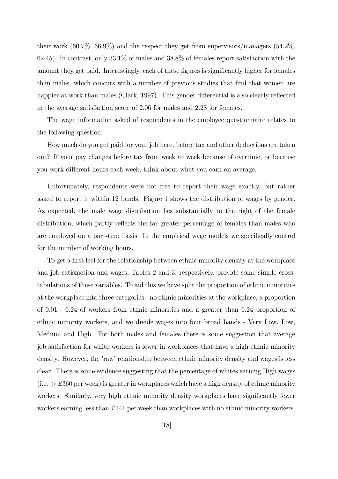their work (60.7%, 66.9%) and the respect they get from supervisors/managers (54.2%, 62.45). In contrast, only 33.1% of males and 38.8% of females report satisfaction with the amount they get paid. Interestingly, each of these figures is significantly higher for females than males, which concurs with a number of previous studies that find that women are happier at work than males (Clark, 1997). This gender differential is also clearly reflected in the average satisfaction score of 2.06 for males and 2.28 for females.

The wage information asked of respondents in the employee questionnaire relates to the following question:

How much do you get paid for your job here, before tax and other deductions are taken out? If your pay changes before tax from week to week because of overtime, or because you work different hours each week, think about what you earn on average.

Unfortunately, respondents were not free to report their wage exactly, but rather asked to report it within 12 bands. Figure 1 shows the distribution of wages by gender. As expected, the male wage distribution lies substantially to the right of the female distribution, which partly reflects the far greater percentage of females than males who are employed on a part-time basis. In the empirical wage models we specifically control for the number of working hours.

To get a first feel for the relationship between ethnic minority density at the workplace and job satisfaction and wages, Tables 2 and 3, respectively, provide some simple crosstabulations of these variables. To aid this we have split the proportion of ethnic minorities at the workplace into three categories - no ethnic minorities at the workplace, a proportion of 0.01 - 0.24 of workers from ethnic minorities and a greater than 0.24 proportion of ethnic minority workers, and we divide wages into four broad bands - Very Low, Low, Medium and High. For both males and females there is some suggestion that average job satisfaction for white workers is lower in workplaces that have a high ethnic minority density. However, the 'raw' relationship between ethnic minority density and wages is less clear. There is some evidence suggesting that the percentage of whites earning High wages (i.e.  $\geq$  £360 per week) is greater in workplaces which have a high density of ethnic minority workers. Similarly, very high ethnic minority density workplaces have significantly fewer workers earning less than £141 per week than workplaces with no ethnic minority workers.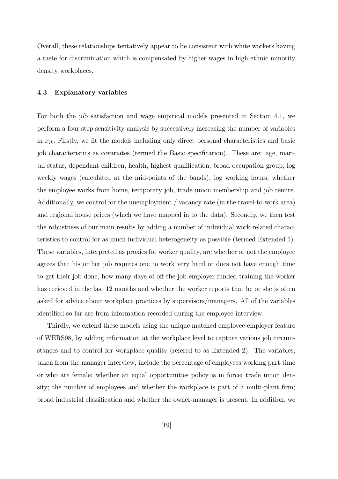Overall, these relationships tentatively appear to be consistent with white workers having a taste for discrimination which is compensated by higher wages in high ethnic minority density workplaces.

#### 4.3 Explanatory variables

For both the job satisfaction and wage empirical models presented in Section 4.1, we perform a four-step sensitivity analysis by successively increasing the number of variables in  $x_{ik}$ . Firstly, we fit the models including only direct personal characteristics and basic job characteristics as covariates (termed the Basic specification). These are: age, marital status, dependant children, health, highest qualification, broad occupation group, log weekly wages (calculated at the mid-points of the bands), log working hours, whether the employee works from home, temporary job, trade union membership and job tenure. Additionally, we control for the unemployment / vacancy rate (in the travel-to-work area) and regional house prices (which we have mapped in to the data). Secondly, we then test the robustness of our main results by adding a number of individual work-related characteristics to control for as much individual heterogeneity as possible (termed Extended 1). These variables, interpreted as proxies for worker quality, are whether or not the employee agrees that his or her job requires one to work very hard or does not have enough time to get their job done, how many days of off-the-job employer-funded training the worker has recieved in the last 12 months and whether the worker reports that he or she is often asked for advice about workplace practices by supervisors/managers. All of the variables identified so far are from information recorded during the employee interview.

Thirdly, we extend these models using the unique matched employee-employer feature of WERS98, by adding information at the workplace level to capture various job circumstances and to control for workplace quality (refered to as Extended 2). The variables, taken from the manager interview, include the percentage of employees working part-time or who are female; whether an equal opportunities policy is in force; trade union density; the number of employees and whether the workplace is part of a multi-plant firm; broad industrial classification and whether the owner-manager is present. In addition, we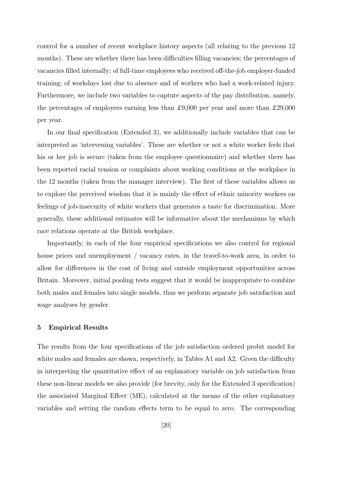control for a number of recent workplace history aspects (all relating to the previous 12 months). These are whether there has been difficulties filling vacancies; the percentages of vacancies filled internally; of full-time employees who received off-the-job employer-funded training; of workdays lost due to absence and of workers who had a work-related injury. Furthermore, we include two variables to capture aspects of the pay distribution, namely, the percentages of employees earning less than  $\pounds 9,000$  per year and more than  $\pounds 29,000$ per year.

In our final specification (Extended 3), we additionally include variables that can be interpreted as 'intervening variables'. These are whether or not a white worker feels that his or her job is secure (taken from the employee questionnaire) and whether there has been reported racial tension or complaints about working conditions at the workplace in the 12 months (taken from the manager interview). The first of these variables allows us to explore the perceived wisdom that it is mainly the effect of ethnic minority workers on feelings of job-insecurity of white workers that generates a taste for discrimination. More generally, these additional estimates will be informative about the mechanisms by which race relations operate at the British workplace.

Importantly, in each of the four empirical specifications we also control for regional house prices and unemployment / vacancy rates, in the travel-to-work area, in order to allow for differences in the cost of living and outside employment opportunities across Britain. Moreover, initial pooling tests suggest that it would be inappropriate to combine both males and females into single models, thus we perform separate job satisfaction and wage analyses by gender.

#### 5 Empirical Results

The results from the four specifications of the job satisfaction ordered probit model for white males and females are shown, respectively, in Tables A1 and A2. Given the difficulty in interpreting the quantitative effect of an explanatory variable on job satisfaction from these non-linear models we also provide (for brevity, only for the Extended 3 specification) the associated Marginal Effect (ME), calculated at the means of the other explanatory variables and setting the random effects term to be equal to zero. The corresponding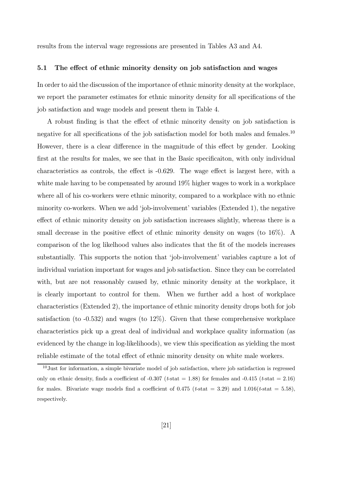results from the interval wage regressions are presented in Tables A3 and A4.

#### 5.1 The effect of ethnic minority density on job satisfaction and wages

In order to aid the discussion of the importance of ethnic minority density at the workplace, we report the parameter estimates for ethnic minority density for all specifications of the job satisfaction and wage models and present them in Table 4.

A robust finding is that the effect of ethnic minority density on job satisfaction is negative for all specifications of the job satisfaction model for both males and females.<sup>10</sup> However, there is a clear difference in the magnitude of this effect by gender. Looking first at the results for males, we see that in the Basic specificaiton, with only individual characteristics as controls, the effect is -0.629. The wage effect is largest here, with a white male having to be compensated by around 19% higher wages to work in a workplace where all of his co-workers were ethnic minority, compared to a workplace with no ethnic minority co-workers. When we add 'job-involvement' variables (Extended 1), the negative effect of ethnic minority density on job satisfaction increases slightly, whereas there is a small decrease in the positive effect of ethnic minority density on wages (to 16%). A comparison of the log likelhood values also indicates that the fit of the models increases substantially. This supports the notion that 'job-involvement' variables capture a lot of individual variation important for wages and job satisfaction. Since they can be correlated with, but are not reasonably caused by, ethnic minority density at the workplace, it is clearly important to control for them. When we further add a host of workplace characteristics (Extended 2), the importance of ethnic minority density drops both for job satisfaction (to -0.532) and wages (to 12%). Given that these comprehensive workplace characteristics pick up a great deal of individual and workplace quality information (as evidenced by the change in log-likelihoods), we view this specification as yielding the most reliable estimate of the total effect of ethnic minority density on white male workers.

 $10$  Just for information, a simple bivariate model of job satisfaction, where job satisfaction is regressed only on ethnic density, finds a coefficient of -0.307 (t-stat = 1.88) for females and -0.415 (t-stat = 2.16) for males. Bivariate wage models find a coefficient of 0.475 ( $t$ -stat = 3.29) and 1.016( $t$ -stat = 5.58), respectively.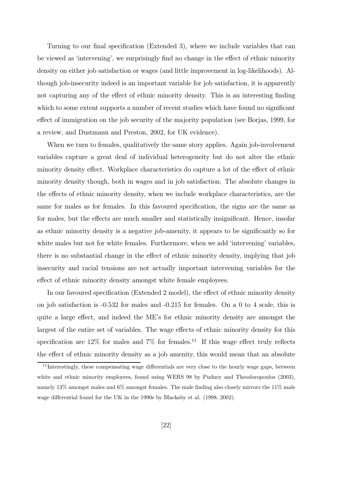Turning to our final specification (Extended 3), where we include variables that can be viewed as 'intervening', we surprisingly find no change in the effect of ethnic minority density on either job satisfaction or wages (and little improvement in log-likelihoods). Although job-insecurity indeed is an important variable for job satisfaction, it is apparently not capturing any of the effect of ethnic minority density. This is an interesting finding which to some extent supports a number of recent studies which have found no significant effect of immigration on the job security of the majority population (see Borjas, 1999, for a review, and Dustmann and Preston, 2002, for UK evidence).

When we turn to females, qualitatively the same story applies. Again job-involvement variables capture a great deal of individual heterogeneity but do not alter the ethnic minority density effect. Workplace characteristics do capture a lot of the effect of ethnic minority density though, both in wages and in job satisfaction. The absolute changes in the effects of ethnic minority density, when we include workplace characteristics, are the same for males as for females. In this favoured specification, the signs are the same as for males, but the effects are much smaller and statistically insignificant. Hence, insofar as ethnic minority density is a negative job-amenity, it appears to be significantly so for white males but not for white females. Furthermore, when we add 'intervening' variables, there is no substantial change in the effect of ethnic minority density, implying that job insecurity and racial tensions are not actually important intervening variables for the effect of ethnic minority density amongst white female employees.

In our favoured specification (Extended 2 model), the effect of ethnic minority density on job satisfaction is -0.532 for males and -0.215 for females. On a 0 to 4 scale, this is quite a large effect, and indeed the ME's for ethnic minority density are amongst the largest of the entire set of variables. The wage effects of ethnic minority density for this specification are  $12\%$  for males and  $7\%$  for females.<sup>11</sup> If this wage effect truly reflects the effect of ethnic minority density as a job amenity, this would mean that an absolute

<sup>&</sup>lt;sup>11</sup>Interestingly, these compensating wage differentials are very close to the hourly wage gaps, between white and ethnic minority employees, found using WERS 98 by Pudney and Theodoropoulos (2003), namely 13% amongst males and 6% amongst females. The male finding also closely mirrors the 11% male wage differential found for the UK in the 1990s by Blackaby et al. (1998, 2002).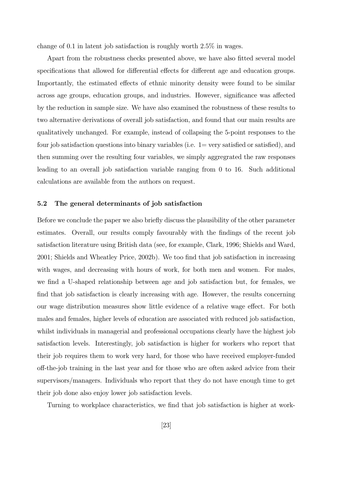change of 0.1 in latent job satisfaction is roughly worth 2.5% in wages.

Apart from the robustness checks presented above, we have also fitted several model specifications that allowed for differential effects for different age and education groups. Importantly, the estimated effects of ethnic minority density were found to be similar across age groups, education groups, and industries. However, significance was affected by the reduction in sample size. We have also examined the robustness of these results to two alternative derivations of overall job satisfaction, and found that our main results are qualitatively unchanged. For example, instead of collapsing the 5-point responses to the four job satisfaction questions into binary variables (i.e. 1= very satisfied or satisfied), and then summing over the resulting four variables, we simply aggregrated the raw responses leading to an overall job satisfaction variable ranging from 0 to 16. Such additional calculations are available from the authors on request.

#### 5.2 The general determinants of job satisfaction

Before we conclude the paper we also briefly discuss the plausibility of the other parameter estimates. Overall, our results comply favourably with the findings of the recent job satisfaction literature using British data (see, for example, Clark, 1996; Shields and Ward, 2001; Shields and Wheatley Price, 2002b). We too find that job satisfaction in increasing with wages, and decreasing with hours of work, for both men and women. For males, we find a U-shaped relationship between age and job satisfaction but, for females, we find that job satisfaction is clearly increasing with age. However, the results concerning our wage distribution measures show little evidence of a relative wage effect. For both males and females, higher levels of education are associated with reduced job satisfaction, whilst individuals in managerial and professional occupations clearly have the highest job satisfaction levels. Interestingly, job satisfaction is higher for workers who report that their job requires them to work very hard, for those who have received employer-funded off-the-job training in the last year and for those who are often asked advice from their supervisors/managers. Individuals who report that they do not have enough time to get their job done also enjoy lower job satisfaction levels.

Turning to workplace characteristics, we find that job satisfaction is higher at work-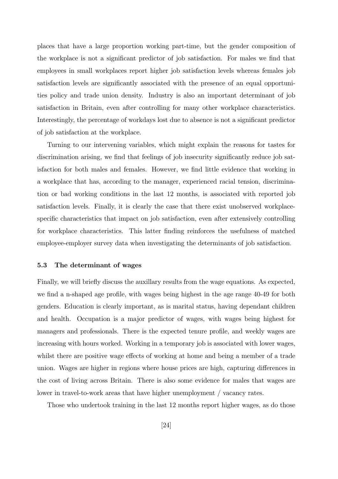places that have a large proportion working part-time, but the gender composition of the workplace is not a significant predictor of job satisfaction. For males we find that employees in small workplaces report higher job satisfaction levels whereas females job satisfaction levels are significantly associated with the presence of an equal opportunities policy and trade union density. Industry is also an important determinant of job satisfaction in Britain, even after controlling for many other workplace characteristics. Interestingly, the percentage of workdays lost due to absence is not a significant predictor of job satisfaction at the workplace.

Turning to our intervening variables, which might explain the reasons for tastes for discrimination arising, we find that feelings of job insecurity significantly reduce job satisfaction for both males and females. However, we find little evidence that working in a workplace that has, according to the manager, experienced racial tension, discrimination or bad working conditions in the last 12 months, is associated with reported job satisfaction levels. Finally, it is clearly the case that there exist unobserved workplacespecific characteristics that impact on job satisfaction, even after extensively controlling for workplace characteristics. This latter finding reinforces the usefulness of matched employee-employer survey data when investigating the determinants of job satisfaction.

#### 5.3 The determinant of wages

Finally, we will briefly discuss the auxillary results from the wage equations. As expected, we find a n-shaped age profile, with wages being highest in the age range 40-49 for both genders. Education is clearly important, as is marital status, having dependant children and health. Occupation is a major predictor of wages, with wages being highest for managers and professionals. There is the expected tenure profile, and weekly wages are increasing with hours worked. Working in a temporary job is associated with lower wages, whilst there are positive wage effects of working at home and being a member of a trade union. Wages are higher in regions where house prices are high, capturing differences in the cost of living across Britain. There is also some evidence for males that wages are lower in travel-to-work areas that have higher unemployment / vacancy rates.

Those who undertook training in the last 12 months report higher wages, as do those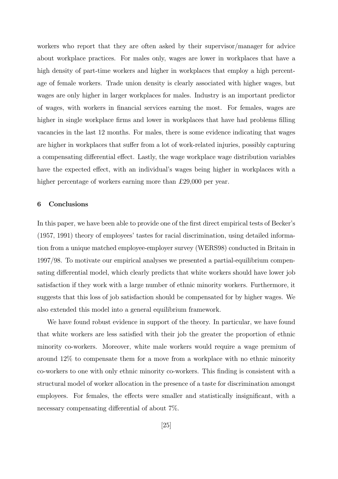workers who report that they are often asked by their supervisor/manager for advice about workplace practices. For males only, wages are lower in workplaces that have a high density of part-time workers and higher in workplaces that employ a high percentage of female workers. Trade union density is clearly associated with higher wages, but wages are only higher in larger workplaces for males. Industry is an important predictor of wages, with workers in financial services earning the most. For females, wages are higher in single workplace firms and lower in workplaces that have had problems filling vacancies in the last 12 months. For males, there is some evidence indicating that wages are higher in workplaces that suffer from a lot of work-related injuries, possibly capturing a compensating differential effect. Lastly, the wage workplace wage distribution variables have the expected effect, with an individual's wages being higher in workplaces with a higher percentage of workers earning more than  $\pounds 29,000$  per year.

#### 6 Conclusions

In this paper, we have been able to provide one of the first direct empirical tests of Becker's (1957, 1991) theory of employees' tastes for racial discrimination, using detailed information from a unique matched employee-employer survey (WERS98) conducted in Britain in 1997/98. To motivate our empirical analyses we presented a partial-equilibrium compensating differential model, which clearly predicts that white workers should have lower job satisfaction if they work with a large number of ethnic minority workers. Furthermore, it suggests that this loss of job satisfaction should be compensated for by higher wages. We also extended this model into a general equilibrium framework.

We have found robust evidence in support of the theory. In particular, we have found that white workers are less satisfied with their job the greater the proportion of ethnic minority co-workers. Moreover, white male workers would require a wage premium of around 12% to compensate them for a move from a workplace with no ethnic minority co-workers to one with only ethnic minority co-workers. This finding is consistent with a structural model of worker allocation in the presence of a taste for discrimination amongst employees. For females, the effects were smaller and statistically insignificant, with a necessary compensating differential of about 7%.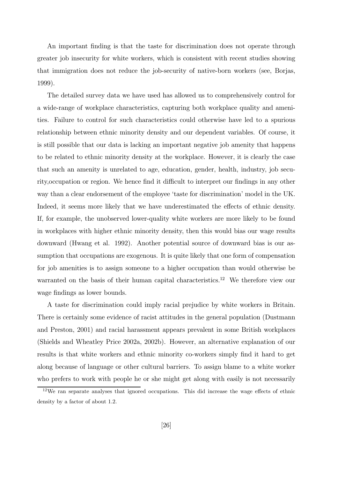An important finding is that the taste for discrimination does not operate through greater job insecurity for white workers, which is consistent with recent studies showing that immigration does not reduce the job-security of native-born workers (see, Borjas, 1999).

The detailed survey data we have used has allowed us to comprehensively control for a wide-range of workplace characteristics, capturing both workplace quality and amenities. Failure to control for such characteristics could otherwise have led to a spurious relationship between ethnic minority density and our dependent variables. Of course, it is still possible that our data is lacking an important negative job amenity that happens to be related to ethnic minority density at the workplace. However, it is clearly the case that such an amenity is unrelated to age, education, gender, health, industry, job security,occupation or region. We hence find it difficult to interpret our findings in any other way than a clear endorsement of the employee 'taste for discrimination' model in the UK. Indeed, it seems more likely that we have underestimated the effects of ethnic density. If, for example, the unobserved lower-quality white workers are more likely to be found in workplaces with higher ethnic minority density, then this would bias our wage results downward (Hwang et al. 1992). Another potential source of downward bias is our assumption that occupations are exogenous. It is quite likely that one form of compensation for job amenities is to assign someone to a higher occupation than would otherwise be warranted on the basis of their human capital characteristics.<sup>12</sup> We therefore view our wage findings as lower bounds.

A taste for discrimination could imply racial prejudice by white workers in Britain. There is certainly some evidence of racist attitudes in the general population (Dustmann and Preston, 2001) and racial harassment appears prevalent in some British workplaces (Shields and Wheatley Price 2002a, 2002b). However, an alternative explanation of our results is that white workers and ethnic minority co-workers simply find it hard to get along because of language or other cultural barriers. To assign blame to a white worker who prefers to work with people he or she might get along with easily is not necessarily

<sup>12</sup>We ran separate analyses that ignored occupations. This did increase the wage effects of ethnic density by a factor of about 1.2.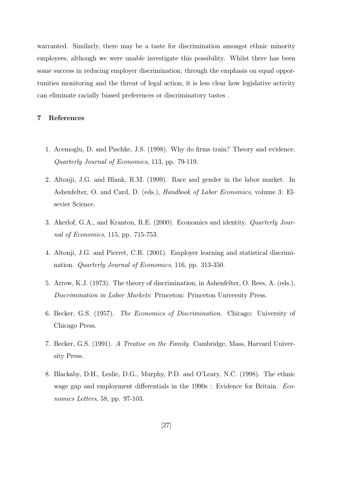warranted. Similarly, there may be a taste for discrimination amongst ethnic minority employees, although we were unable investigate this possibility. Whilst there has been some success in reducing employer discrimination, through the emphasis on equal opportunities monitoring and the threat of legal action, it is less clear how legislative activity can eliminate racially biased preferences or discriminatory tastes .

#### 7 References

- 1. Acemoglu, D. and Pischke, J.S. (1998). Why do firms train? Theory and evidence. Quarterly Journal of Economics, 113, pp. 79-119.
- 2. Altonji, J.G. and Blank, R.M. (1999). Race and gender in the labor market. In Ashenfelter, O. and Card, D. (eds.), Handbook of Labor Economics, volume 3: Elsevier Science.
- 3. Akerlof, G.A., and Kranton, R.E. (2000). Economics and identity. Quarterly Journal of Economics, 115, pp. 715-753.
- 4. Altonji, J.G. and Pierret, C.R. (2001). Employer learning and statistical discrimination. Quarterly Journal of Economics, 116, pp. 313-350.
- 5. Arrow, K.J. (1973). The theory of discrimination, in Ashenfelter, O. Rees, A. (eds.), Discrimination in Labor Markets: Princeton: Princeton University Press.
- 6. Becker, G.S. (1957). The Economics of Discrimination. Chicago: University of Chicago Press.
- 7. Becker, G.S. (1991). A Treatise on the Family. Cambridge, Mass, Harvard University Press.
- 8. Blackaby, D.H., Leslie, D.G., Murphy, P.D. and O'Leary, N.C. (1998). The ethnic wage gap and employment differentials in the 1990s : Evidence for Britain. Economics Letters, 58, pp. 97-103.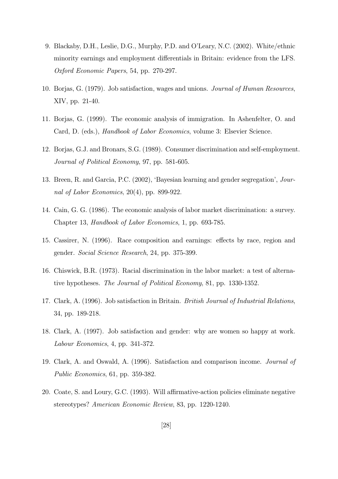- 9. Blackaby, D.H., Leslie, D.G., Murphy, P.D. and O'Leary, N.C. (2002). White/ethnic minority earnings and employment differentials in Britain: evidence from the LFS. Oxford Economic Papers, 54, pp. 270-297.
- 10. Borjas, G. (1979). Job satisfaction, wages and unions. Journal of Human Resources, XIV, pp. 21-40.
- 11. Borjas, G. (1999). The economic analysis of immigration. In Ashenfelter, O. and Card, D. (eds.), Handbook of Labor Economics, volume 3: Elsevier Science.
- 12. Borjas, G.J. and Bronars, S.G. (1989). Consumer discrimination and self-employment. Journal of Political Economy, 97, pp. 581-605.
- 13. Breen, R. and Garcia, P.C. (2002), 'Bayesian learning and gender segregation', Journal of Labor Economics, 20(4), pp. 899-922.
- 14. Cain, G. G. (1986). The economic analysis of labor market discrimination: a survey. Chapter 13, Handbook of Labor Economics, 1, pp. 693-785.
- 15. Cassirer, N. (1996). Race composition and earnings: effects by race, region and gender. Social Science Research, 24, pp. 375-399.
- 16. Chiswick, B.R. (1973). Racial discrimination in the labor market: a test of alternative hypotheses. The Journal of Political Economy, 81, pp. 1330-1352.
- 17. Clark, A. (1996). Job satisfaction in Britain. British Journal of Industrial Relations, 34, pp. 189-218.
- 18. Clark, A. (1997). Job satisfaction and gender: why are women so happy at work. Labour Economics, 4, pp. 341-372.
- 19. Clark, A. and Oswald, A. (1996). Satisfaction and comparison income. Journal of Public Economics, 61, pp. 359-382.
- 20. Coate, S. and Loury, G.C. (1993). Will affirmative-action policies eliminate negative stereotypes? American Economic Review, 83, pp. 1220-1240.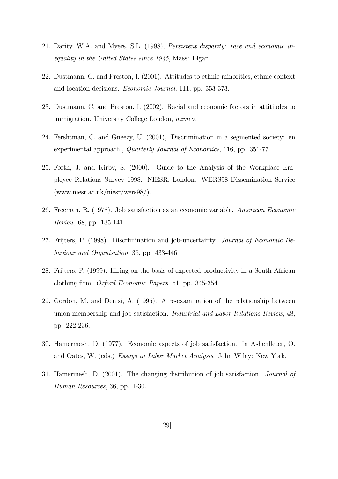- 21. Darity, W.A. and Myers, S.L. (1998), Persistent disparity: race and economic inequality in the United States since 1945, Mass: Elgar.
- 22. Dustmann, C. and Preston, I. (2001). Attitudes to ethnic minorities, ethnic context and location decisions. Economic Journal, 111, pp. 353-373.
- 23. Dustmann, C. and Preston, I. (2002). Racial and economic factors in attitiudes to immigration. University College London, mimeo.
- 24. Fershtman, C. and Gneezy, U. (2001), 'Discrimination in a segmented society: en experimental approach', Quarterly Journal of Economics, 116, pp. 351-77.
- 25. Forth, J. and Kirby, S. (2000). Guide to the Analysis of the Workplace Employee Relations Survey 1998. NIESR: London. WERS98 Dissemination Service (www.niesr.ac.uk/niesr/wers98/).
- 26. Freeman, R. (1978). Job satisfaction as an economic variable. American Economic Review, 68, pp. 135-141.
- 27. Frijters, P. (1998). Discrimination and job-uncertainty. Journal of Economic Behaviour and Organisation, 36, pp. 433-446
- 28. Frijters, P. (1999). Hiring on the basis of expected productivity in a South African clothing firm. Oxford Economic Papers 51, pp. 345-354.
- 29. Gordon, M. and Denisi, A. (1995). A re-examination of the relationship between union membership and job satisfaction. Industrial and Labor Relations Review, 48, pp. 222-236.
- 30. Hamermesh, D. (1977). Economic aspects of job satisfaction. In Ashenfleter, O. and Oates, W. (eds.) Essays in Labor Market Analysis. John Wiley: New York.
- 31. Hamermesh, D. (2001). The changing distribution of job satisfaction. Journal of Human Resources, 36, pp. 1-30.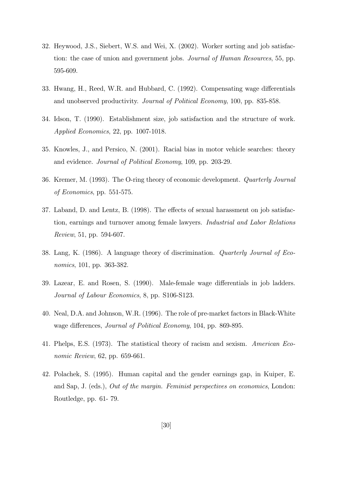- 32. Heywood, J.S., Siebert, W.S. and Wei, X. (2002). Worker sorting and job satisfaction: the case of union and government jobs. *Journal of Human Resources*, 55, pp. 595-609.
- 33. Hwang, H., Reed, W.R. and Hubbard, C. (1992). Compensating wage differentials and unobserved productivity. Journal of Political Economy, 100, pp. 835-858.
- 34. Idson, T. (1990). Establishment size, job satisfaction and the structure of work. Applied Economics, 22, pp. 1007-1018.
- 35. Knowles, J., and Persico, N. (2001). Racial bias in motor vehicle searches: theory and evidence. Journal of Political Economy, 109, pp. 203-29.
- 36. Kremer, M. (1993). The O-ring theory of economic development. Quarterly Journal of Economics, pp. 551-575.
- 37. Laband, D. and Lentz, B. (1998). The effects of sexual harassment on job satisfaction, earnings and turnover among female lawyers. Industrial and Labor Relations Review, 51, pp. 594-607.
- 38. Lang, K. (1986). A language theory of discrimination. Quarterly Journal of Economics, 101, pp. 363-382.
- 39. Lazear, E. and Rosen, S. (1990). Male-female wage differentials in job ladders. Journal of Labour Economics, 8, pp. S106-S123.
- 40. Neal, D.A. and Johnson, W.R. (1996). The role of pre-market factors in Black-White wage differences, Journal of Political Economy, 104, pp. 869-895.
- 41. Phelps, E.S. (1973). The statistical theory of racism and sexism. American Economic Review, 62, pp. 659-661.
- 42. Polachek, S. (1995). Human capital and the gender earnings gap, in Kuiper, E. and Sap, J. (eds.), Out of the margin. Feminist perspectives on economics, London: Routledge, pp. 61- 79.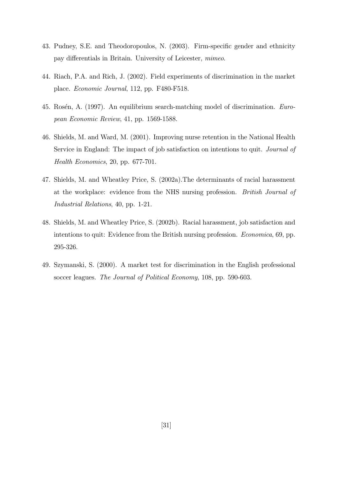- 43. Pudney, S.E. and Theodoropoulos, N. (2003). Firm-specific gender and ethnicity pay differentials in Britain. University of Leicester, mimeo.
- 44. Riach, P.A. and Rich, J. (2002). Field experiments of discrimination in the market place. Economic Journal, 112, pp. F480-F518.
- 45. Rosén, A. (1997). An equilibrium search-matching model of discrimination. European Economic Review, 41, pp. 1569-1588.
- 46. Shields, M. and Ward, M. (2001). Improving nurse retention in the National Health Service in England: The impact of job satisfaction on intentions to quit. Journal of Health Economics, 20, pp. 677-701.
- 47. Shields, M. and Wheatley Price, S. (2002a).The determinants of racial harassment at the workplace: evidence from the NHS nursing profession. British Journal of Industrial Relations, 40, pp. 1-21.
- 48. Shields, M. and Wheatley Price, S. (2002b). Racial harassment, job satisfaction and intentions to quit: Evidence from the British nursing profession. Economica, 69, pp. 295-326.
- 49. Szymanski, S. (2000). A market test for discrimination in the English professional soccer leagues. The Journal of Political Economy, 108, pp. 590-603.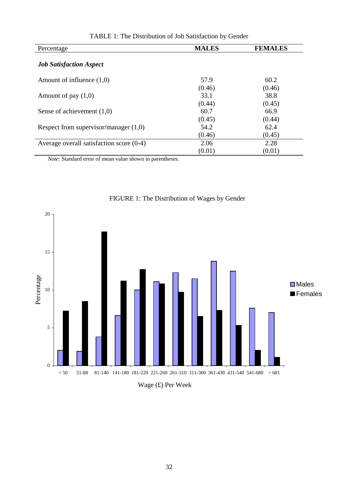| Percentage                               | <b>MALES</b> | <b>FEMALES</b> |
|------------------------------------------|--------------|----------------|
| <b>Job Satisfaction Aspect</b>           |              |                |
| Amount of influence $(1,0)$              | 57.9         | 60.2           |
|                                          | (0.46)       | (0.46)         |
| Amount of pay $(1,0)$                    | 33.1         | 38.8           |
|                                          | (0.44)       | (0.45)         |
| Sense of achievement $(1,0)$             | 60.7         | 66.9           |
|                                          | (0.45)       | (0.44)         |
| Respect from supervisor/manager $(1,0)$  | 54.2         | 62.4           |
|                                          | (0.46)       | (0.45)         |
| Average overall satisfaction score (0-4) | 2.06         | 2.28           |
|                                          | (0.01)       | (0.01)         |

TABLE 1: The Distribution of Job Satisfaction by Gender

*Note*: Standard error of mean value shown in parentheses.



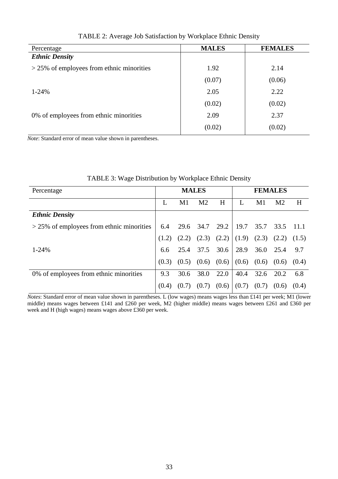| Percentage                                  | <b>MALES</b> | <b>FEMALES</b> |
|---------------------------------------------|--------------|----------------|
| <b>Ethnic Density</b>                       |              |                |
| $>$ 25% of employees from ethnic minorities | 1.92         | 2.14           |
|                                             | (0.07)       | (0.06)         |
| $1 - 24%$                                   | 2.05         | 2.22           |
|                                             | (0.02)       | (0.02)         |
| 0% of employees from ethnic minorities      | 2.09         | 2.37           |
|                                             | (0.02)       | (0.02)         |

TABLE 2: Average Job Satisfaction by Workplace Ethnic Density

*Note*: Standard error of mean value shown in parentheses.

| Percentage                                  |       |       | <b>MALES</b>   |                         | <b>FEMALES</b> |       |                |       |  |
|---------------------------------------------|-------|-------|----------------|-------------------------|----------------|-------|----------------|-------|--|
|                                             | L     | M1    | M <sub>2</sub> | H                       |                | M1    | M <sub>2</sub> | H     |  |
| <b>Ethnic Density</b>                       |       |       |                |                         |                |       |                |       |  |
| $>$ 25% of employees from ethnic minorities | 6.4   |       | 29.6 34.7      | 29.2                    | 19.7           | 35.7  | 33.5           | -11.1 |  |
|                                             | (1.2) | (2.2) |                | $(2.3)$ $(2.2)$ $(1.9)$ |                | (2.3) | (2.2)          | (1.5) |  |
| $1 - 24%$                                   | 6.6   |       |                | 25.4 37.5 30.6          | 28.9           | 36.0  | 25.4           | 9.7   |  |
|                                             | (0.3) | (0.5) | (0.6)          | (0.6)                   | (0.6)          | (0.6) | (0.6)          | (0.4) |  |
| 0% of employees from ethnic minorities      | 9.3   | 30.6  | 38.0           | 22.0                    | 40.4           | 32.6  | 20.2           | 6.8   |  |
|                                             | (0.4) | (0.7) | (0.7)          | (0.6)                   | (0.7)          | (0.7) | (0.6)          | (0.4) |  |

#### TABLE 3: Wage Distribution by Workplace Ethnic Density

*Notes*: Standard error of mean value shown in parentheses. L (low wages) means wages less than £141 per week; M1 (lower middle) means wages between £141 and £260 per week, M2 (higher middle) means wages between £261 and £360 per week and H (high wages) means wages above £360 per week.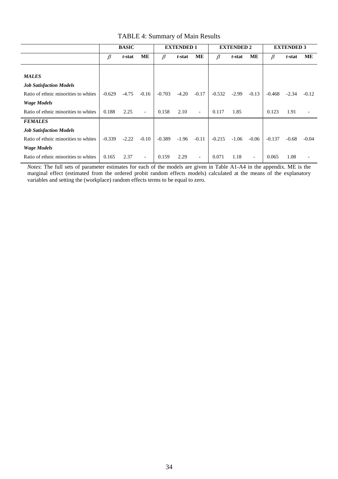|                                      |          | <b>BASIC</b> |                          |          | <b>EXTENDED 1</b> |                          |          | <b>EXTENDED 2</b> |                          | <b>EXTENDED 3</b> |         |         |
|--------------------------------------|----------|--------------|--------------------------|----------|-------------------|--------------------------|----------|-------------------|--------------------------|-------------------|---------|---------|
|                                      | β        | t-stat       | MЕ                       | $\beta$  | t-stat            | ME                       | $\beta$  | t-stat            | ME                       | $\beta$           | t-stat  | МE      |
|                                      |          |              |                          |          |                   |                          |          |                   |                          |                   |         |         |
| <b>MALES</b>                         |          |              |                          |          |                   |                          |          |                   |                          |                   |         |         |
| <b>Job Satisfaction Models</b>       |          |              |                          |          |                   |                          |          |                   |                          |                   |         |         |
| Ratio of ethnic minorities to whites | $-0.629$ | $-4.75$      | $-0.16$                  | $-0.703$ | $-4.20$           | $-0.17$                  | $-0.532$ | $-2.99$           | $-0.13$                  | $-0.468$          | $-2.34$ | $-0.12$ |
| <b>Wage Models</b>                   |          |              |                          |          |                   |                          |          |                   |                          |                   |         |         |
| Ratio of ethnic minorities to whites | 0.188    | 2.25         | $\overline{\phantom{a}}$ | 0.158    | 2.10              | $\overline{\phantom{a}}$ | 0.117    | 1.85              |                          | 0.123             | 1.91    |         |
| <b>FEMALES</b>                       |          |              |                          |          |                   |                          |          |                   |                          |                   |         |         |
| <b>Job Satisfaction Models</b>       |          |              |                          |          |                   |                          |          |                   |                          |                   |         |         |
| Ratio of ethnic minorities to whites | $-0.339$ | $-2.22$      | $-0.10$                  | $-0.389$ | $-1.96$           | $-0.11$                  | $-0.215$ | $-1.06$           | $-0.06$                  | $-0.137$          | $-0.68$ | $-0.04$ |
| <b>Wage Models</b>                   |          |              |                          |          |                   |                          |          |                   |                          |                   |         |         |
| Ratio of ethnic minorities to whites | 0.165    | 2.37         | $\overline{\phantom{a}}$ | 0.159    | 2.29              | $\overline{\phantom{0}}$ | 0.071    | 1.18              | $\overline{\phantom{a}}$ | 0.065             | 1.08    |         |

### TABLE 4: Summary of Main Results

*Notes*: The full sets of parameter estimates for each of the models are given in Table A1-A4 in the appendix. ME is the marginal effect (estimated from the ordered probit random effects models) calculated at the means of the explanatory variables and setting the (workplace) random effects terms to be equal to zero.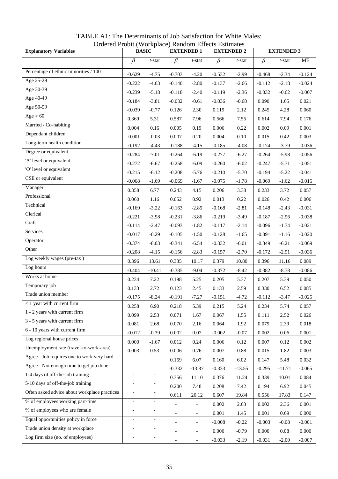| <b>Explanatory Variables</b>                 | Ordered Frobit (WORKplace) National Effects Estimates<br><b>BASIC</b> |                          | <b>EXTENDED 1</b>        |                          |                      | <b>EXTENDED 2</b>  | <b>EXTENDED 3</b> |           |                      |  |
|----------------------------------------------|-----------------------------------------------------------------------|--------------------------|--------------------------|--------------------------|----------------------|--------------------|-------------------|-----------|----------------------|--|
|                                              | $\beta$                                                               | t-stat                   | $\beta$                  | t-stat                   | $\beta$              | t-stat             | $\beta$           | $t$ -stat | $\rm ME$             |  |
| Percentage of ethnic minorities / 100        | $-0.629$                                                              | $-4.75$                  | $-0.703$                 | $-4.20$                  | $-0.532$             | $-2.99$            | $-0.468$          | $-2.34$   | $-0.124$             |  |
| Age 25-29                                    | $-0.222$                                                              | $-4.63$                  | $-0.140$                 | $-2.80$                  | $-0.137$             | $-2.66$            | $-0.112$          | $-2.18$   | $-0.024$             |  |
| Age 30-39                                    | $-0.239$                                                              | $-5.18$                  | $-0.118$                 | $-2.40$                  | $-0.119$             | $-2.36$            | $-0.032$          | $-0.62$   | $-0.007$             |  |
| Age 40-49                                    | $-0.184$                                                              | $-3.81$                  | $-0.032$                 | $-0.61$                  | $-0.036$             | $-0.68$            | 0.090             | 1.65      | 0.021                |  |
| Age 50-59                                    | $-0.039$                                                              | $-0.77$                  | 0.126                    | 2.30                     | 0.119                | 2.12               | 0.245             | 4.28      | 0.060                |  |
| Age > 60                                     | 0.369                                                                 | 5.31                     | 0.587                    | 7.96                     | 0.566                | 7.55               | 0.614             | 7.94      | 0.176                |  |
| Married / Co-habiting                        | 0.004                                                                 | 0.16                     | 0.005                    | 0.19                     | 0.006                | 0.22               | 0.002             | 0.09      | 0.001                |  |
| Dependant children                           | $-0.001$                                                              | $-0.03$                  | 0.007                    | 0.20                     | 0.004                | 0.10               | 0.015             | 0.42      | 0.003                |  |
| Long-term health condition                   | $-0.192$                                                              | $-4.43$                  | $-0.188$                 | $-4.15$                  | $-0.185$             | $-4.08$            | $-0.174$          | $-3.79$   | $-0.036$             |  |
| Degree or equivalent                         |                                                                       |                          |                          |                          | $-0.277$             |                    |                   |           |                      |  |
| 'A' level or equivalent                      | $-0.284$<br>$-0.272$                                                  | $-7.01$                  | $-0.264$                 | $-6.19$                  |                      | $-6.27$            | $-0.264$          | $-5.98$   | $-0.056$<br>$-0.051$ |  |
| 'O' level or equivalent                      | $-0.215$                                                              | $-6.67$<br>$-6.12$       | $-0.258$                 | $-6.09$                  | $-0.260$<br>$-0.210$ | $-6.02$<br>$-5.70$ | $-0.247$          | $-5.71$   | $-0.041$             |  |
| CSE or equivalent                            |                                                                       |                          | $-0.208$                 | $-5.76$                  |                      |                    | $-0.194$          | $-5.22$   |                      |  |
| Manager                                      | $-0.068$                                                              | $-1.69$                  | $-0.069$                 | $-1.67$                  | $-0.075$             | $-1.78$            | $-0.069$          | $-1.62$   | $-0.015$             |  |
| Professional                                 | 0.358                                                                 | 6.77                     | 0.243                    | 4.15                     | 0.206                | 3.38               | 0.233             | 3.72      | 0.057                |  |
| Technical                                    | 0.060                                                                 | 1.16                     | 0.052                    | 0.92                     | 0.013                | 0.22               | 0.026             | 0.42      | 0.006                |  |
| Clerical                                     | $-0.169$                                                              | $-3.22$                  | $-0.163$                 | $-2.85$                  | $-0.168$             | $-2.81$            | $-0.148$          | $-2.43$   | $-0.031$             |  |
| Craft                                        | $-0.221$                                                              | $-3.98$                  | $-0.231$                 | $-3.86$                  | $-0.219$             | $-3.49$            | $-0.187$          | $-2.96$   | $-0.038$             |  |
| Services                                     | $-0.114$                                                              | $-2.47$                  | $-0.093$                 | $-1.82$                  | $-0.117$             | $-2.14$            | $-0.096$          | $-1.74$   | $-0.021$             |  |
| Operator                                     | $-0.017$                                                              | $-0.29$                  | $-0.105$                 | $-1.50$                  | $-0.128$             | $-1.65$            | $-0.091$          | $-1.16$   | $-0.020$             |  |
| Other                                        | $-0.374$                                                              | $-8.03$                  | $-0.341$                 | $-6.54$                  | $-0.332$             | $-6.01$            | $-0.349$          | $-6.21$   | $-0.069$             |  |
| Log weekly wages (pre-tax)                   | $-0.208$                                                              | $-4.15$                  | $-0.156$                 | $-2.83$                  | $-0.157$             | $-2.70$            | $-0.172$          | $-2.91$   | $-0.036$             |  |
| Log hours                                    | 0.396                                                                 | 13.61                    | 0.335                    | 10.17                    | 0.379                | 10.80              | 0.396             | 11.16     | 0.089                |  |
| Works at home                                | $-0.404$                                                              | $-10.41$                 | $-0.385$                 | $-9.04$                  | $-0.372$             | $-8.42$            | $-0.382$          | $-8.78$   | $-0.086$             |  |
|                                              | 0.234                                                                 | 7.22                     | 0.198                    | 5.25                     | 0.205                | 5.37               | 0.207             | 5.39      | 0.050                |  |
| Temporary job                                | 0.133                                                                 | 2.72                     | 0.123                    | 2.45                     | 0.133                | 2.59               | 0.330             | 6.52      | 0.085                |  |
| Trade union member                           | $-0.175$                                                              | $-8.24$                  | $-0.191$                 | $-7.27$                  | $-0.151$             | $-4.72$            | $-0.112$          | $-3.47$   | $-0.025$             |  |
| < 1 year with current firm                   | 0.258                                                                 | 6.90                     | 0.218                    | 5.39                     | 0.215                | 5.24               | 0.234             | 5.74      | 0.057                |  |
| 1 - 2 years with current firm                | 0.099                                                                 | 2.53                     | 0.071                    | 1.67                     | 0.067                | 1.55               | 0.111             | 2.52      | 0.026                |  |
| 3 - 5 years with current firm                | 0.081                                                                 | 2.68                     | 0.070                    | 2.16                     | 0.064                | 1.92               | 0.079             | 2.39      | 0.018                |  |
| 6 - 10 years with current firm               | $-0.012$                                                              | $-0.39$                  | 0.002                    | 0.07                     | $-0.002$             | $-0.07$            | 0.002             | $0.06\,$  | 0.001                |  |
| Log regional house prices                    | 0.000                                                                 | $-1.67$                  | 0.012                    | 0.24                     | 0.006                | 0.12               | 0.007             | 0.12      | 0.002                |  |
| Unemployment rate (travel-to-work-area)      | 0.003                                                                 | 0.53                     | 0.006                    | 0.76                     | 0.007                | $\rm 0.88$         | 0.015             | 1.82      | 0.003                |  |
| Agree - Job requires one to work very hard   | ÷,                                                                    |                          | 0.159                    | 6.07                     | 0.160                | 6.02               | 0.147             | 5.48      | 0.032                |  |
| Agree - Not enough time to get job done      |                                                                       |                          | $-0.332$                 | $-13.87$                 | $-0.333$             | $-13.55$           | $-0.295$          | $-11.71$  | $-0.065$             |  |
| 1-4 days of off-the-job training             |                                                                       | $\overline{\phantom{0}}$ | 0.356                    | 11.10                    | 0.376                | 11.24              | 0.339             | 10.01     | 0.084                |  |
| 5-10 days of off-the-job training            |                                                                       |                          | 0.200                    | 7.48                     | 0.208                | 7.42               | 0.194             | 6.92      | 0.045                |  |
| Often asked advice about workplace practices |                                                                       | $\overline{\phantom{0}}$ | 0.611                    | 20.12                    | 0.607                | 19.84              | 0.556             | 17.83     | 0.147                |  |
| % of employees working part-time             | $\overline{\phantom{a}}$                                              | $\overline{\phantom{0}}$ |                          | $\frac{1}{2}$            | 0.002                | 2.63               | 0.002             | 2.36      | 0.001                |  |
| % of employees who are female                | $\overline{\phantom{a}}$                                              | $\overline{\phantom{0}}$ | $\overline{\phantom{a}}$ | $\overline{\phantom{a}}$ | 0.001                | 1.45               | 0.001             | 0.69      | 0.000                |  |
| Equal opportunities policy in force          | $\overline{\phantom{a}}$                                              | $\overline{a}$           |                          | $\overline{\phantom{a}}$ | $-0.008$             | $-0.22$            | $-0.003$          | $-0.08$   | $-0.001$             |  |
| Trade union density at workplace             |                                                                       | $\overline{\phantom{0}}$ | $\overline{a}$           | $\overline{\phantom{a}}$ | 0.000                | $-0.79$            | 0.000             | 0.08      | 0.000                |  |
| Log firm size (no. of employees)             | $\overline{\phantom{a}}$                                              | $\overline{\phantom{a}}$ |                          | $\overline{\phantom{a}}$ | $-0.033$             | $-2.19$            | $-0.031$          | $-2.00$   | $-0.007$             |  |

TABLE A1: The Determinants of Job Satisfaction for White Males: Ordered Probit (Workplace) Random Effects Estimates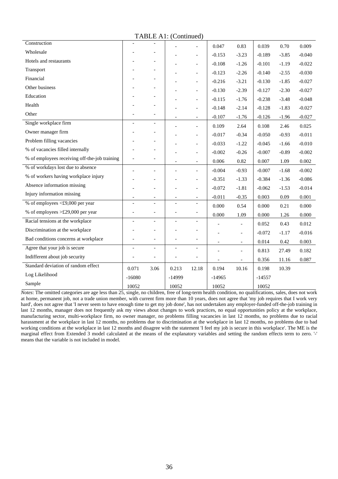#### TABLE A1: (Continued)

| Construction                                  |                          |                          |                          |                          | 0.047                    | 0.83                     | 0.039    | 0.70    | 0.009    |
|-----------------------------------------------|--------------------------|--------------------------|--------------------------|--------------------------|--------------------------|--------------------------|----------|---------|----------|
| Wholesale                                     |                          |                          |                          | $\overline{a}$           | $-0.153$                 | $-3.23$                  | $-0.189$ | $-3.85$ | $-0.040$ |
| Hotels and restaurants                        |                          |                          |                          | -                        | $-0.108$                 | $-1.26$                  | $-0.101$ | $-1.19$ | $-0.022$ |
| Transport                                     |                          |                          |                          | $\qquad \qquad -$        | $-0.123$                 | $-2.26$                  | $-0.140$ | $-2.55$ | $-0.030$ |
| Financial                                     |                          |                          |                          | $\overline{a}$           | $-0.216$                 | $-3.21$                  | $-0.130$ | $-1.85$ | $-0.027$ |
| Other business                                |                          |                          |                          | $\overline{a}$           | $-0.130$                 | $-2.39$                  | $-0.127$ | $-2.30$ | $-0.027$ |
| Education                                     |                          |                          |                          | $\overline{a}$           | $-0.115$                 | $-1.76$                  | $-0.238$ | $-3.48$ | $-0.048$ |
| Health                                        |                          |                          |                          | $\overline{a}$           | $-0.148$                 | $-2.14$                  | $-0.128$ | $-1.83$ | $-0.027$ |
| Other                                         |                          |                          |                          | $\qquad \qquad -$        | $-0.107$                 | $-1.76$                  | $-0.126$ | $-1.96$ | $-0.027$ |
| Single workplace firm                         | $\overline{a}$           | $\overline{a}$           |                          | $\overline{a}$           | 0.109                    | 2.64                     | 0.108    | 2.46    | 0.025    |
| Owner manager firm                            |                          |                          |                          |                          | $-0.017$                 | $-0.34$                  | $-0.050$ | $-0.93$ | $-0.011$ |
| Problem filling vacancies                     |                          |                          |                          | $\overline{a}$           |                          |                          |          |         |          |
| % of vacancies filled internally              |                          |                          |                          | $\overline{a}$           | $-0.033$                 | $-1.22$                  | $-0.045$ | $-1.66$ | $-0.010$ |
| % of employees receiving off-the-job training |                          |                          |                          | $\overline{a}$           | $-0.002$                 | $-0.26$                  | $-0.007$ | $-0.89$ | $-0.002$ |
| % of workdays lost due to absence             |                          |                          |                          | $\overline{\phantom{a}}$ | 0.006                    | 0.82                     | 0.007    | 1.09    | 0.002    |
| % of workers having workplace injury          |                          |                          |                          | $\overline{a}$           | $-0.004$                 | $-0.93$                  | $-0.007$ | $-1.68$ | $-0.002$ |
| Absence information missing                   |                          |                          |                          | $\overline{a}$           | $-0.351$                 | $-1.33$                  | $-0.384$ | $-1.36$ | $-0.086$ |
| Injury information missing                    |                          |                          |                          | $\overline{\phantom{0}}$ | $-0.072$                 | $-1.81$                  | $-0.062$ | $-1.53$ | $-0.014$ |
| % of employees $\leq 9,000$ per year          |                          | $\overline{\phantom{a}}$ |                          | $\overline{\phantom{a}}$ | $-0.011$                 | $-0.35$                  | 0.003    | 0.09    | 0.001    |
|                                               |                          |                          |                          |                          | 0.000                    | 0.54                     | 0.000    | 0.21    | 0.000    |
| % of employees $>\pounds$ 29,000 per year     |                          | $\overline{a}$           |                          | $\overline{\phantom{0}}$ | 0.000                    | 1.09                     | 0.000    | 1.26    | 0.000    |
| Racial tensions at the workplace              | $\overline{a}$           | $\overline{a}$           | $\overline{a}$           | $\overline{\phantom{0}}$ |                          |                          | 0.052    | 0.43    | 0.012    |
| Discrimination at the workplace               |                          |                          |                          |                          |                          | $\overline{a}$           | $-0.072$ | $-1.17$ | $-0.016$ |
| Bad conditions concerns at workplace          |                          | $\overline{a}$           |                          | $\overline{\phantom{0}}$ | $\overline{\phantom{a}}$ | $\overline{\phantom{a}}$ | 0.014    | 0.42    | 0.003    |
| Agree that your job is secure                 | $\overline{\phantom{a}}$ | $\overline{\phantom{a}}$ | $\overline{\phantom{a}}$ | $\overline{a}$           |                          | $\overline{a}$           | 0.813    | 27.49   | 0.182    |
| Indifferent about job security                |                          |                          |                          | $\overline{a}$           |                          |                          | 0.356    | 11.16   | 0.087    |
| Standard deviation of random effect           | 0.071                    | 3.06                     | 0.213                    | 12.18                    | 0.194                    | 10.16                    | 0.198    | 10.39   |          |
| Log Likelihood                                | $-16080$                 |                          | -14999                   |                          | $-14965$                 |                          | $-14557$ |         |          |
| Sample                                        | 10052                    |                          | 10052                    |                          | 10052                    |                          | 10052    |         |          |

*Notes*: The omitted categories are age less than 25, single, no children, free of long-term health condition, no qualifications, sales, does not work at home, permanent job, not a trade union member, with current firm more than 10 years, does not agree that 'my job requires that I work very hard', does not agree that 'I never seem to have enough time to get my job done', has not undertaken any employer-funded off-the-job training in last 12 months, manager does not frequently ask my views about changes to work practices, no equal opportunities policy at the workplace, manufacturing sector, multi-workplace firm, no owner manager, no problems filling vacancies in last 12 months, no problems due to racial harassment at the workplace in last 12 months, no problems due to discrimination at the workplace in last 12 months, no problems due to bad working conditions at the workplace in last 12 months and disagree with the statement T feel my job is secure in this workplace'. The ME is the marginal effect from Extended 3 model calculated at the means of the explanatory variables and setting the random effects term to zero. '-' means that the variable is not included in model.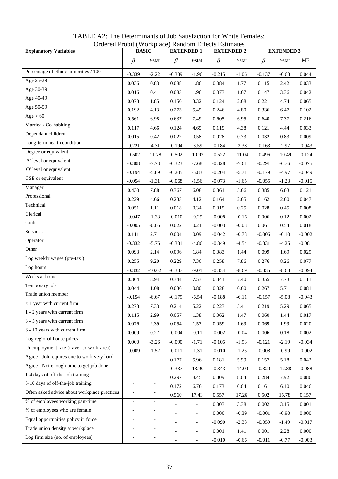| OTUCTU 1 TODIL ( W OTRPTACE) INAHUOHI EFFECTS ESTIMATES<br><b>Explanatory Variables</b> |                          | <b>BASIC</b>                 | <b>EXTENDED 1</b>        |                          |                | <b>EXTENDED 2</b> |                | <b>EXTENDED 3</b> |                |
|-----------------------------------------------------------------------------------------|--------------------------|------------------------------|--------------------------|--------------------------|----------------|-------------------|----------------|-------------------|----------------|
|                                                                                         | $\beta$                  | $t$ -stat                    | $\beta$                  | $t$ -stat                | $\beta$        | t-stat            | $\beta$        | $t$ -stat         | $\mathbf{ME}$  |
| Percentage of ethnic minorities / 100                                                   | $-0.339$                 | $-2.22$                      | $-0.389$                 | $-1.96$                  | $-0.215$       | $-1.06$           | $-0.137$       | $-0.68$           | 0.044          |
| Age $25-29$                                                                             | 0.036                    | 0.83                         | 0.088                    | 1.86                     | 0.084          | 1.77              | 0.115          | 2.42              | 0.033          |
| Age 30-39                                                                               | 0.016                    | 0.41                         | 0.083                    | 1.96                     | 0.073          | 1.67              | 0.147          | 3.36              | 0.042          |
| Age 40-49                                                                               | 0.078                    | 1.85                         | 0.150                    | 3.32                     | 0.124          | 2.68              | 0.221          | 4.74              | 0.065          |
| Age 50-59                                                                               | 0.192                    | 4.13                         | 0.273                    | 5.45                     | 0.246          | 4.80              | 0.336          | 6.47              | 0.102          |
| Age > 60                                                                                | 0.561                    | 6.98                         | 0.637                    | 7.49                     | 0.605          | 6.95              | 0.640          | 7.37              | 0.216          |
| Married / Co-habiting                                                                   | 0.117                    | 4.66                         | 0.124                    | 4.65                     | 0.119          | 4.38              | 0.121          | 4.44              | 0.033          |
| Dependant children                                                                      | 0.015                    | 0.42                         | 0.022                    | 0.58                     | 0.028          | 0.73              | 0.032          | 0.83              | 0.009          |
| Long-term health condition                                                              | $-0.221$                 | $-4.31$                      | $-0.194$                 | $-3.59$                  | $-0.184$       | $-3.38$           | $-0.163$       | $-2.97$           | $-0.043$       |
| Degree or equivalent                                                                    | $-0.502$                 | $-11.78$                     | $-0.502$                 | $-10.92$                 | $-0.522$       | $-11.04$          | $-0.496$       | $-10.49$          | $-0.124$       |
| 'A' level or equivalent                                                                 | $-0.308$                 | $-7.78$                      | $-0.323$                 | $-7.68$                  | $-0.328$       | $-7.61$           | $-0.291$       | $-6.76$           | $-0.075$       |
| 'O' level or equivalent                                                                 | $-0.194$                 | $-5.89$                      | $-0.205$                 | $-5.83$                  | $-0.204$       | $-5.71$           | $-0.179$       | $-4.97$           | $-0.049$       |
| CSE or equivalent                                                                       | $-0.054$                 | $-1.31$                      | $-0.068$                 | $-1.56$                  | $-0.073$       | $-1.65$           | $-0.055$       | $-1.23$           | $-0.015$       |
| Manager                                                                                 | 0.430                    | 7.88                         | 0.367                    | 6.08                     | 0.361          | 5.66              | 0.385          | 6.03              | 0.121          |
| Professional                                                                            | 0.229                    | 4.66                         | 0.233                    | 4.12                     | 0.164          | 2.65              | 0.162          | 2.60              | 0.047          |
| Technical                                                                               | 0.051                    | 1.11                         | 0.018                    | 0.34                     | 0.015          | 0.25              | 0.028          | 0.45              | 0.008          |
| Clerical                                                                                | $-0.047$                 | $-1.38$                      | $-0.010$                 | $-0.25$                  | $-0.008$       | $-0.16$           | 0.006          | 0.12              | 0.002          |
| Craft                                                                                   | $-0.005$                 | $-0.06$                      | 0.022                    | 0.21                     | $-0.003$       | $-0.03$           | 0.061          | 0.54              | 0.018          |
| Services                                                                                | 0.111                    | 2.71                         | 0.004                    | 0.09                     | $-0.042$       | $-0.73$           | $-0.006$       | $-0.10$           | $-0.002$       |
| Operator                                                                                | $-0.332$                 | $-5.76$                      | $-0.331$                 | $-4.86$                  | $-0.349$       | $-4.54$           | $-0.331$       | $-4.25$           | $-0.081$       |
| Other                                                                                   | 0.093                    | 2.14                         | 0.096                    | 1.84                     | 0.083          | 1.44              | 0.099          | 1.69              | 0.029          |
| Log weekly wages (pre-tax)                                                              | 0.255                    | 9.20                         | 0.229                    | 7.36                     | 0.258          | 7.86              | 0.276          | 8.26              | 0.077          |
| Log hours                                                                               | $-0.332$                 | $-10.02$                     | $-0.337$                 | $-9.01$                  | $-0.334$       | $-8.69$           | $-0.335$       | $-8.68$           | $-0.094$       |
| Works at home                                                                           | 0.364                    | 8.94                         | 0.344                    | 7.53                     | 0.341          | 7.40              | 0.355          | 7.73              | 0.111          |
| Temporary job                                                                           | 0.044                    | 1.08                         | 0.036                    | 0.80                     | 0.028          | 0.60              | 0.267          | 5.71              | 0.081          |
| Trade union member                                                                      | $-0.154$                 | $-6.67$                      | $-0.179$                 | $-6.54$                  | $-0.188$       | $-6.11$           | $-0.157$       | $-5.08$           | $-0.043$       |
| $<$ 1 year with current firm                                                            | 0.273                    | 7.33                         | 0.214                    | 5.22                     | 0.223          | 5.41              | 0.219          | 5.29              | 0.065          |
| 1 - 2 years with current firm                                                           | 0.115                    | 2.99                         | 0.057                    | 1.38                     | 0.062          | 1.47              | 0.060          | 1.44              | 0.017          |
| 3 - 5 years with current firm                                                           | 0.076                    | 2.39                         | 0.054                    | 1.57                     | 0.059          | 1.69              | 0.069          | 1.99              | 0.020          |
| 6 - 10 years with current firm                                                          | 0.009                    | 0.27                         | $-0.004$                 | $-0.11$                  | $-0.002$       | $-0.04$           | 0.006          | 0.18              | 0.002          |
| Log regional house prices                                                               | 0.000                    | $-3.26$                      | $-0.090$                 | $-1.71$                  | $-0.105$       | $-1.93$           | $-0.121$       | $-2.19$           | $-0.034$       |
| Unemployment rate (travel-to-work-area)                                                 | $-0.009$                 | $-1.52$                      | $-0.011$                 | $-1.31$                  | $-0.010$       | $-1.25$           | $-0.008$       | $-0.99$           | $-0.002$       |
| Agree - Job requires one to work very hard                                              |                          |                              | 0.177                    | 5.96                     | 0.181          | 5.99              | 0.157          | 5.18              | 0.042          |
| Agree - Not enough time to get job done                                                 |                          |                              |                          |                          | $-0.343$       |                   | $-0.320$       |                   |                |
| 1-4 days of off-the-job training                                                        |                          |                              | $-0.337$                 | $-13.90$                 |                | $-14.00$          |                | $-12.88$          | $-0.088$       |
| 5-10 days of off-the-job training                                                       |                          |                              | 0.297<br>0.172           | 8.45                     | 0.309          | 8.64              | 0.284          | 7.92              | 0.086          |
| Often asked advice about workplace practices                                            |                          | $\qquad \qquad \blacksquare$ | 0.560                    | 6.76<br>17.43            | 0.173<br>0.557 | 6.64<br>17.26     | 0.161<br>0.502 | 6.10<br>15.78     | 0.046<br>0.157 |
| % of employees working part-time                                                        | $\blacksquare$           | $\overline{\phantom{a}}$     |                          |                          |                |                   |                |                   |                |
| % of employees who are female                                                           | $\overline{a}$           | $\qquad \qquad -$            |                          |                          | 0.003          | 3.38              | 0.002          | 3.15              | 0.001          |
| Equal opportunities policy in force                                                     | $\overline{\phantom{a}}$ | $\overline{\phantom{a}}$     | $\overline{\phantom{a}}$ | $\overline{\phantom{a}}$ | 0.000          | $-0.39$           | $-0.001$       | $-0.90$           | 0.000          |
| Trade union density at workplace                                                        |                          | $\qquad \qquad \blacksquare$ |                          | $\overline{\phantom{a}}$ | $-0.090$       | $-2.33$           | $-0.059$       | $-1.49$           | $-0.017$       |
| Log firm size (no. of employees)                                                        |                          | $\overline{\phantom{a}}$     |                          | $\overline{\phantom{a}}$ | 0.001          | 1.41              | 0.001          | 2.28              | 0.000          |
|                                                                                         |                          |                              |                          |                          | $-0.010$       | $-0.66$           | $-0.011$       | $-0.77$           | $-0.003$       |

TABLE A2: The Determinants of Job Satisfaction for White Females: Ordered Probit (Workplace) Random Effects Estimates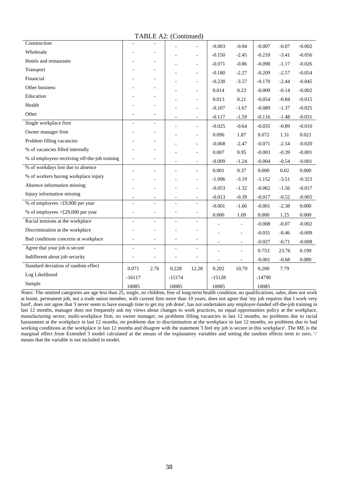#### TABLE A2: (Continued)

| Construction                                  |                |                                  |                          | $\overline{a}$                             | $-0.003$                 | $-0.04$                  | $-0.007$ | $-0.07$ | $-0.002$ |
|-----------------------------------------------|----------------|----------------------------------|--------------------------|--------------------------------------------|--------------------------|--------------------------|----------|---------|----------|
| Wholesale                                     |                |                                  |                          | -                                          | $-0.150$                 | $-2.45$                  | $-0.210$ | $-3.41$ | $-0.056$ |
| Hotels and restaurants                        |                |                                  |                          | $\overline{a}$                             | $-0.071$                 | $-0.86$                  | $-0.098$ | $-1.17$ | $-0.026$ |
| Transport                                     |                |                                  |                          | $\overline{a}$                             | $-0.180$                 | $-2.27$                  | $-0.209$ | $-2.57$ | $-0.054$ |
| Financial                                     |                | $\overline{\phantom{0}}$         |                          | $\overline{a}$                             | $-0.238$                 | $-3.57$                  | $-0.170$ | $-2.44$ | $-0.045$ |
| Other business                                |                |                                  |                          |                                            | 0.014                    | 0.23                     | $-0.009$ | $-0.14$ | $-0.002$ |
| Education                                     |                |                                  |                          | $\overline{\phantom{a}}$                   | 0.013                    | 0.21                     | $-0.054$ | $-0.84$ | $-0.015$ |
| Health                                        |                |                                  |                          | $\overline{a}$                             | $-0.107$                 | $-1.67$                  | $-0.089$ | $-1.37$ | $-0.025$ |
| Other                                         |                | $\overline{a}$                   |                          | $\overline{\phantom{a}}$                   | $-0.117$                 | $-1.59$                  | $-0.116$ | $-1.48$ | $-0.031$ |
| Single workplace firm                         |                |                                  |                          | $\overline{a}$                             | $-0.025$                 | $-0.64$                  | $-0.035$ | $-0.89$ | $-0.010$ |
| Owner manager firm                            |                | $\overline{\phantom{a}}$         |                          | $\overline{a}$                             | 0.096                    | 1.87                     | 0.072    | 1.31    | 0.021    |
| Problem filling vacancies                     |                |                                  |                          | $\overline{a}$                             | $-0.068$                 | $-2.47$                  | $-0.071$ | $-2.54$ | $-0.020$ |
| % of vacancies filled internally              |                |                                  |                          | $\overline{a}$                             | 0.007                    | 0.95                     | $-0.003$ | $-0.39$ | $-0.001$ |
| % of employees receiving off-the-job training |                |                                  |                          |                                            | $-0.009$                 | $-1.24$                  | $-0.004$ | $-0.54$ | $-0.001$ |
| % of workdays lost due to absence             |                |                                  |                          | $\overline{\phantom{a}}$<br>$\overline{a}$ | 0.001                    | 0.37                     | 0.000    | 0.02    | 0.000    |
| % of workers having workplace injury          |                |                                  |                          |                                            | $-1.096$                 | $-3.19$                  | $-1.152$ | $-3.51$ | $-0.323$ |
| Absence information missing                   |                |                                  |                          | $\overline{\phantom{a}}$                   |                          | $-1.32$                  |          |         | $-0.017$ |
| Injury information missing                    |                | $\overline{a}$                   |                          | $\overline{\phantom{a}}$                   | $-0.053$<br>$-0.013$     | $-0.39$                  | $-0.062$ | $-1.56$ |          |
| % of employees $\leq 9,000$ per year          |                | $\overline{a}$<br>$\overline{a}$ |                          | $\overline{\phantom{a}}$<br>$\overline{a}$ |                          |                          | $-0.017$ | $-0.52$ | $-0.005$ |
| % of employees >£29,000 per year              |                | $\overline{a}$                   |                          | $\overline{a}$                             | $-0.001$                 | $-1.66$                  | $-0.001$ | $-2.38$ | 0.000    |
| Racial tensions at the workplace              | $\overline{a}$ | $\overline{a}$                   | $\overline{a}$           | $\blacksquare$                             | 0.000                    | 1.09                     | 0.000    | 1.25    | 0.000    |
| Discrimination at the workplace               |                |                                  |                          |                                            |                          |                          | $-0.008$ | $-0.07$ | $-0.002$ |
| Bad conditions concerns at workplace          |                | $\overline{a}$                   |                          | $\overline{a}$                             |                          | $\overline{a}$           | $-0.031$ | $-0.46$ | $-0.009$ |
| Agree that your job is secure                 | $\overline{a}$ | ÷                                | $\overline{\phantom{a}}$ |                                            | $\overline{\phantom{a}}$ | $\overline{\phantom{a}}$ | $-0.027$ | $-0.71$ | $-0.008$ |
|                                               |                |                                  |                          | $\overline{\phantom{a}}$                   |                          | $\overline{a}$           | 0.753    | 23.76   | 0.199    |
| Indifferent about job security                |                | $\overline{a}$                   |                          |                                            |                          | $\overline{a}$           | $-0.001$ | $-0.68$ | 0.080    |
| Standard deviation of random effect           | 0.071          | 2.76                             | 0.228                    | 12.28                                      | 0.202                    | 10.70                    | 0.200    | 7.79    |          |
| Log Likelihood                                | $-16117$       |                                  | $-15174$                 |                                            | $-15128$                 |                          | $-14790$ |         |          |
| Sample                                        | 10085          |                                  | 10085                    |                                            | 10085                    |                          | 10085    |         |          |

*Notes*: The omitted categories are age less than 25, single, no children, free of long-term health condition, no qualifications, sales, does not work at home, permanent job, not a trade union member, with current firm more than 10 years, does not agree that 'my job requires that I work very hard', does not agree that 'I never seem to have enough time to get my job done', has not undertaken any employer-funded off-the-job training in last 12 months, manager does not frequently ask my views about changes to work practices, no equal opportunities policy at the workplace, manufacturing sector, multi-workplace firm, no owner manager, no problems filling vacancies in last 12 months, no problems due to racial harassment at the workplace in last 12 months, no problems due to discrimination at the workplace in last 12 months, no problems due to bad working conditions at the workplace in last 12 months and disagree with the statement T feel my job is secure in this workplace'. The ME is the marginal effect from Extended 3 model calculated at the means of the explanatory variables and setting the random effects term to zero. '-' means that the variable is not included in model.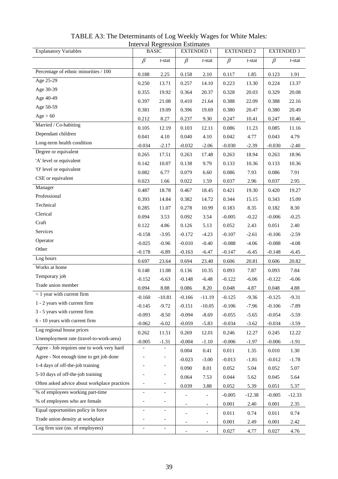| <b>Explanatory Variables</b>                 | interval Regression Estimates | <b>BASIC</b>             | <b>EXTENDED 1</b>        |                          |          | <b>EXTENDED 2</b> | <b>EXTENDED 3</b> |           |  |
|----------------------------------------------|-------------------------------|--------------------------|--------------------------|--------------------------|----------|-------------------|-------------------|-----------|--|
|                                              | $\beta$                       | $t$ -stat                | $\beta$                  | $t$ -stat                | $\beta$  | t-stat            | $\beta$           | $t$ -stat |  |
|                                              |                               |                          |                          |                          |          |                   |                   |           |  |
| Percentage of ethnic minorities / 100        | 0.188                         | 2.25                     | 0.158                    | 2.10                     | 0.117    | 1.85              | 0.123             | 1.91      |  |
| Age 25-29                                    | 0.250                         | 13.71                    | 0.257                    | 14.10                    | 0.223    | 13.30             | 0.224             | 13.37     |  |
| Age 30-39                                    | 0.355                         | 19.92                    | 0.364                    | 20.37                    | 0.328    | 20.03             | 0.329             | 20.08     |  |
| Age 40-49                                    | 0.397                         | 21.08                    | 0.410                    | 21.64                    | 0.388    | 22.09             | 0.388             | 22.16     |  |
| Age 50-59                                    | 0.381                         | 19.09                    | 0.396                    | 19.69                    | 0.380    | 20.47             | 0.380             | 20.49     |  |
| Age > 60                                     | 0.212                         | 8.27                     | 0.237                    | 9.30                     | 0.247    | 10.41             | 0.247             | 10.46     |  |
| Married / Co-habiting                        | 0.105                         | 12.19                    | 0.103                    | 12.11                    | 0.086    | 11.23             | 0.085             | 11.16     |  |
| Dependant children                           | 0.041                         | 4.10                     | 0.040                    | 4.10                     | 0.042    | 4.77              | 0.043             | 4.79      |  |
| Long-term health condition                   | $-0.034$                      | $-2.17$                  | $-0.032$                 | $-2.06$                  | $-0.030$ | $-2.39$           | $-0.030$          | $-2.40$   |  |
| Degree or equivalent                         | 0.265                         | 17.51                    | 0.263                    | 17.48                    | 0.263    | 18.94             | 0.263             | 18.96     |  |
| 'A' level or equivalent                      | 0.142                         | 10.07                    | 0.138                    | 9.79                     | 0.133    | 10.36             | 0.133             | 10.36     |  |
| 'O' level or equivalent                      | 0.082                         | 6.77                     | 0.079                    | 6.60                     | 0.086    | 7.93              | 0.086             | 7.91      |  |
| CSE or equivalent                            | 0.023                         | 1.66                     | 0.022                    | 1.59                     | 0.037    | 2.96              | 0.037             | 2.95      |  |
| Manager                                      | 0.487                         | 18.78                    | 0.467                    | 18.45                    | 0.421    | 19.30             | 0.420             | 19.27     |  |
| Professional                                 | 0.393                         | 14.84                    | 0.382                    | 14.72                    | 0.344    | 15.15             | 0.343             | 15.09     |  |
| Technical                                    | 0.285                         | 11.07                    | 0.278                    | 10.99                    | 0.183    | 8.35              | 0.182             | 8.30      |  |
| Clerical                                     | 0.094                         | 3.53                     | 0.092                    | 3.54                     | $-0.005$ | $-0.22$           | $-0.006$          | $-0.25$   |  |
| Craft                                        | 0.122                         | 4.86                     | 0.126                    | 5.13                     | 0.052    | 2.43              | 0.051             | 2.40      |  |
| Services                                     | $-0.158$                      | $-3.95$                  | $-0.172$                 | $-4.23$                  | $-0.107$ | $-2.61$           | $-0.106$          | $-2.59$   |  |
| Operator                                     |                               |                          |                          |                          |          |                   |                   |           |  |
| Other                                        | $-0.025$                      | $-0.96$                  | $-0.010$                 | $-0.40$                  | $-0.088$ | $-4.06$           | $-0.088$          | $-4.08$   |  |
| Log hours                                    | $-0.178$                      | $-6.89$                  | $-0.163$                 | $-6.47$                  | $-0.147$ | $-6.45$           | $-0.148$          | $-6.45$   |  |
| Works at home                                | 0.697                         | 23.64                    | 0.694                    | 23.40                    | 0.606    | 20.81             | 0.606             | 20.82     |  |
| Temporary job                                | 0.148                         | 11.08                    | 0.136                    | 10.35                    | 0.093    | 7.87              | 0.093             | 7.84      |  |
| Trade union member                           | $-0.152$                      | $-6.63$                  | $-0.148$                 | $-6.48$                  | $-0.122$ | $-6.06$           | $-0.122$          | $-6.06$   |  |
| $<$ 1 year with current firm                 | 0.094                         | 8.88                     | 0.086                    | 8.20                     | 0.048    | 4.87              | 0.048             | 4.88      |  |
| 1 - 2 years with current firm                | $-0.160$                      | $-10.81$                 | $-0.166$                 | $-11.19$                 | $-0.125$ | $-9.36$           | $-0.125$          | $-9.31$   |  |
| 3 - 5 years with current firm                | $-0.145$                      | $-9.72$                  | $-0.151$                 | $-10.05$                 | $-0.106$ | $-7.96$           | $-0.106$          | $-7.89$   |  |
| 6 - 10 years with current firm               | $-0.093$                      | $-8.50$                  | $-0.094$                 | $-8.69$                  | $-0.055$ | $-5.65$           | $-0.054$          | $-5.59$   |  |
| Log regional house prices                    | $-0.062$                      | $-6.02$                  | $-0.059$                 | $-5.83$                  | $-0.034$ | $-3.62$           | $-0.034$          | $-3.59$   |  |
| Unemployment rate (travel-to-work-area)      | 0.262                         | 11.51                    | 0.269                    | 12.01                    | 0.246    | 12.27             | 0.245             | 12.22     |  |
|                                              | $-0.005$                      | $-1.31$                  | $-0.004$                 | $-1.10$                  | $-0.006$ | $-1.97$           | $-0.006$          | $-1.91$   |  |
| Agree - Job requires one to work very hard   |                               |                          | 0.004                    | 0.41                     | 0.011    | 1.35              | 0.010             | 1.30      |  |
| Agree - Not enough time to get job done      |                               |                          | $-0.023$                 | $-3.00$                  | $-0.013$ | $-1.81$           | $-0.012$          | $-1.78$   |  |
| 1-4 days of off-the-job training             |                               |                          | 0.090                    | 8.01                     | 0.052    | 5.04              | 0.052             | 5.07      |  |
| 5-10 days of off-the-job training            |                               |                          | 0.064                    | 7.53                     | 0.044    | 5.62              | 0.045             | 5.64      |  |
| Often asked advice about workplace practices |                               | $\overline{\phantom{a}}$ | 0.039                    | 3.88                     | 0.052    | 5.39              | 0.051             | 5.37      |  |
| % of employees working part-time             | $\overline{\phantom{a}}$      | $\overline{\phantom{a}}$ |                          |                          | $-0.005$ | $-12.38$          | $-0.005$          | $-12.33$  |  |
| % of employees who are female                |                               | $\overline{\phantom{0}}$ | $\overline{\phantom{0}}$ | $\overline{\phantom{a}}$ | 0.001    | 2.40              | 0.001             | 2.35      |  |
| Equal opportunities policy in force          | $\overline{\phantom{a}}$      | $\qquad \qquad -$        |                          | $\overline{\phantom{0}}$ | 0.011    | 0.74              | 0.011             | 0.74      |  |
| Trade union density at workplace             |                               | $\qquad \qquad -$        |                          | $\overline{\phantom{0}}$ | 0.001    | 2.49              | 0.001             | 2.42      |  |
| Log firm size (no. of employees)             | $\qquad \qquad -$             | $\overline{\phantom{a}}$ | $\overline{\phantom{0}}$ | $\overline{\phantom{a}}$ | 0.027    | 4.77              | 0.027             | 4.76      |  |

TABLE A3: The Determinants of Log Weekly Wages for White Males: Interval Regression Estimates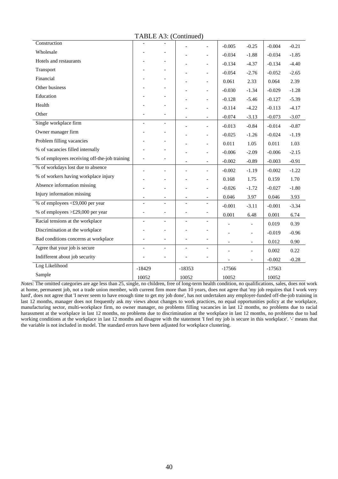#### TABLE A3: (Continued)

| Construction                                  |                          | $\overline{a}$           |                          |                                                      | $-0.005$ | $-0.25$                  | $-0.004$ | $-0.21$ |
|-----------------------------------------------|--------------------------|--------------------------|--------------------------|------------------------------------------------------|----------|--------------------------|----------|---------|
| Wholesale                                     |                          | $\overline{\phantom{a}}$ |                          | $\overline{a}$                                       | $-0.034$ | $-1.88$                  | $-0.034$ | $-1.85$ |
| Hotels and restaurants                        |                          |                          |                          | $\overline{\phantom{0}}$                             | $-0.134$ | $-4.37$                  | $-0.134$ | $-4.40$ |
| Transport                                     |                          |                          |                          | $\overline{a}$                                       | $-0.054$ | $-2.76$                  | $-0.052$ | $-2.65$ |
| Financial                                     |                          |                          |                          |                                                      | 0.061    | 2.33                     | 0.064    | 2.39    |
| Other business                                |                          |                          |                          | $\overline{\phantom{0}}$                             | $-0.030$ | $-1.34$                  | $-0.029$ | $-1.28$ |
| Education                                     |                          |                          |                          | $\overline{\phantom{a}}$                             | $-0.128$ | $-5.46$                  | $-0.127$ | $-5.39$ |
| Health                                        |                          |                          |                          | $\bar{a}$                                            | $-0.114$ | $-4.22$                  | $-0.113$ | $-4.17$ |
| Other                                         |                          |                          |                          | $\overline{\phantom{a}}$                             | $-0.074$ | $-3.13$                  | $-0.073$ | $-3.07$ |
| Single workplace firm                         |                          | $\overline{a}$           |                          |                                                      | $-0.013$ | $-0.84$                  | $-0.014$ | $-0.87$ |
| Owner manager firm                            |                          | $\overline{a}$           |                          | $\overline{\phantom{a}}$                             | $-0.025$ | $-1.26$                  | $-0.024$ | $-1.19$ |
| Problem filling vacancies                     |                          |                          |                          |                                                      | 0.011    | 1.05                     | 0.011    | 1.03    |
| % of vacancies filled internally              |                          |                          |                          |                                                      | $-0.006$ | $-2.09$                  | $-0.006$ | $-2.15$ |
| % of employees receiving off-the-job training |                          |                          |                          | $\overline{\phantom{a}}$                             | $-0.002$ | $-0.89$                  | $-0.003$ |         |
| % of workdays lost due to absence             |                          |                          |                          | $\overline{\phantom{a}}$                             | $-0.002$ |                          | $-0.002$ | $-0.91$ |
| % of workers having workplace injury          |                          | $\overline{\phantom{a}}$ |                          | $\overline{a}$                                       |          | $-1.19$                  |          | $-1.22$ |
| Absence information missing                   |                          |                          |                          | $\overline{\phantom{0}}$                             | 0.168    | 1.75                     | 0.159    | 1.70    |
| Injury information missing                    |                          | $\overline{a}$           |                          | $\overline{\phantom{a}}$                             | $-0.026$ | $-1.72$                  | $-0.027$ | $-1.80$ |
| % of employees <£9,000 per year               | $\overline{a}$           | $\overline{\phantom{0}}$ | $\overline{a}$           | $\overline{\phantom{a}}$<br>$\overline{\phantom{a}}$ | 0.046    | 3.97                     | 0.046    | 3.93    |
| % of employees $>\pounds$ 29,000 per year     |                          | $\overline{\phantom{a}}$ | $\bar{a}$                | $\overline{\phantom{a}}$                             | $-0.001$ | $-3.11$                  | $-0.001$ | $-3.34$ |
| Racial tensions at the workplace              | $\overline{a}$           | $\overline{\phantom{a}}$ | $\overline{\phantom{m}}$ | $\overline{\phantom{a}}$                             | 0.001    | 6.48                     | 0.001    | 6.74    |
| Discrimination at the workplace               |                          |                          |                          |                                                      |          |                          | 0.019    | 0.39    |
| Bad conditions concerns at workplace          |                          | $\overline{\phantom{a}}$ |                          | $\overline{\phantom{a}}$                             |          |                          | $-0.019$ | $-0.96$ |
|                                               |                          |                          |                          |                                                      |          | $\overline{\phantom{a}}$ | 0.012    | 0.90    |
| Agree that your job is secure                 | $\overline{\phantom{a}}$ | $\blacksquare$           | $\overline{\phantom{a}}$ | $\overline{\phantom{a}}$                             |          | $\overline{a}$           | 0.002    | 0.22    |
| Indifferent about job security                |                          |                          |                          | $\overline{\phantom{a}}$                             |          | $\overline{a}$           | $-0.002$ | $-0.28$ |
| Log Likelihood                                | $-18429$                 |                          | $-18353$                 |                                                      | $-17566$ |                          | $-17563$ |         |
| Sample                                        | 10052                    |                          | 10052                    |                                                      | 10052    |                          | 10052    |         |

*Notes*: The omitted categories are age less than 25, single, no children, free of long-term health condition, no qualifications, sales, does not work at home, permanent job, not a trade union member, with current firm more than 10 years, does not agree that 'my job requires that I work very hard', does not agree that 'I never seem to have enough time to get my job done', has not undertaken any employer-funded off-the-job training in last 12 months, manager does not frequently ask my views about changes to work practices, no equal opportunities policy at the workplace, manufacturing sector, multi-workplace firm, no owner manager, no problems filling vacancies in last 12 months, no problems due to racial harassment at the workplace in last 12 months, no problems due to discrimination at the workplace in last 12 months, no problems due to bad working conditions at the workplace in last 12 months and disagree with the statement 'I feel my job is secure in this workplace'. '-' means that the variable is not included in model. The standard errors have been adjusted for workplace clustering.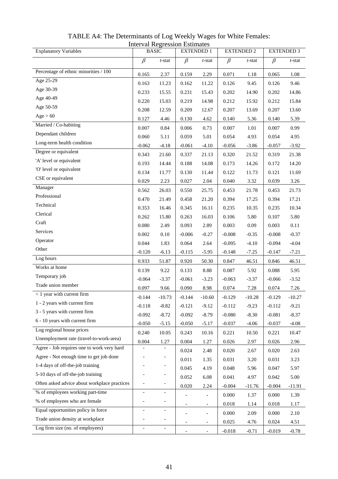| <b>Explanatory Variables</b>                 |                          | <b>BASIC</b>             | interval Regression esumates<br><b>EXTENDED 1</b> |                          |          | <b>EXTENDED 2</b> | <b>EXTENDED 3</b> |          |
|----------------------------------------------|--------------------------|--------------------------|---------------------------------------------------|--------------------------|----------|-------------------|-------------------|----------|
|                                              |                          |                          |                                                   |                          |          |                   |                   |          |
|                                              | $\beta$                  | t-stat                   | $\beta$                                           | $t$ -stat                | $\beta$  | t-stat            | $\beta$           | t-stat   |
| Percentage of ethnic minorities / 100        | 0.165                    | 2.37                     | 0.159                                             | 2.29                     | 0.071    | 1.18              | 0.065             | 1.08     |
| Age $25-29$                                  | 0.163                    | 11.23                    | 0.162                                             | 11.22                    | 0.126    | 9.45              | 0.126             | 9.46     |
| Age 30-39                                    | 0.233                    | 15.55                    | 0.231                                             | 15.43                    | 0.202    | 14.90             | 0.202             | 14.86    |
| Age 40-49                                    | 0.220                    | 15.03                    | 0.219                                             | 14.98                    | 0.212    | 15.92             | 0.212             | 15.84    |
| Age 50-59                                    | 0.208                    | 12.59                    | 0.209                                             | 12.67                    | 0.207    | 13.69             | 0.207             | 13.60    |
| Age > 60                                     | 0.127                    | 4.46                     | 0.130                                             | 4.62                     | 0.140    | 5.36              | 0.140             | 5.39     |
| Married / Co-habiting                        | 0.007                    | 0.84                     | 0.006                                             | 0.73                     | 0.007    | 1.01              | 0.007             | 0.99     |
| Dependant children                           | 0.060                    | 5.11                     | 0.059                                             | 5.01                     | 0.054    | 4.93              | 0.054             | 4.95     |
| Long-term health condition                   | $-0.062$                 | $-4.18$                  | $-0.061$                                          | $-4.10$                  | $-0.056$ | $-3.86$           | $-0.057$          | $-3.92$  |
| Degree or equivalent                         | 0.343                    | 21.60                    | 0.337                                             | 21.13                    | 0.320    | 21.52             | 0.319             | 21.38    |
| 'A' level or equivalent                      | 0.193                    | 14.44                    | 0.188                                             | 14.08                    | 0.173    | 14.26             | 0.172             | 14.20    |
| 'O' level or equivalent                      | 0.134                    | 11.77                    | 0.130                                             | 11.44                    | 0.122    | 11.73             | 0.121             | 11.69    |
| CSE or equivalent                            | 0.029                    | 2.23                     | 0.027                                             | 2.04                     | 0.040    | 3.32              | 0.039             | 3.26     |
| Manager                                      |                          |                          |                                                   |                          |          |                   |                   |          |
| Professional                                 | 0.562                    | 26.03                    | 0.550                                             | 25.75                    | 0.453    | 21.78             | 0.453             | 21.73    |
| Technical                                    | 0.470                    | 21.49                    | 0.458                                             | 21.20                    | 0.394    | 17.25             | 0.394             | 17.21    |
| Clerical                                     | 0.353                    | 16.46                    | 0.345                                             | 16.11                    | 0.235    | 10.35             | 0.235             | 10.34    |
| Craft                                        | 0.262                    | 15.80                    | 0.263                                             | 16.03                    | 0.106    | 5.80              | 0.107             | 5.80     |
| Services                                     | 0.080                    | 2.49                     | 0.093                                             | 2.89                     | 0.003    | 0.09              | 0.003             | 0.11     |
| Operator                                     | 0.002                    | 0.10                     | $-0.006$                                          | $-0.27$                  | $-0.008$ | $-0.35$           | $-0.008$          | $-0.37$  |
| Other                                        | 0.044                    | 1.83                     | 0.064                                             | 2.64                     | $-0.095$ | $-4.10$           | $-0.094$          | $-4.04$  |
| Log hours                                    | $-0.120$                 | $-6.13$                  | $-0.115$                                          | $-5.95$                  | $-0.148$ | $-7.25$           | $-0.147$          | $-7.21$  |
| Works at home                                | 0.933                    | 51.87                    | 0.920                                             | 50.30                    | 0.847    | 46.51             | 0.846             | 46.51    |
| Temporary job                                | 0.139                    | 9.22                     | 0.133                                             | 8.88                     | 0.087    | 5.92              | 0.088             | 5.95     |
| Trade union member                           | $-0.064$                 | $-3.37$                  | $-0.061$                                          | $-3.23$                  | $-0.063$ | $-3.37$           | $-0.066$          | $-3.52$  |
|                                              | 0.097                    | 9.66                     | 0.090                                             | 8.98                     | 0.074    | 7.28              | 0.074             | 7.26     |
| $\sqrt{1}$ year with current firm            | $-0.144$                 | $-10.73$                 | $-0.144$                                          | $-10.60$                 | $-0.129$ | $-10.28$          | $-0.129$          | $-10.27$ |
| 1 - 2 years with current firm                | $-0.118$                 | $-8.82$                  | $-0.121$                                          | $-9.12$                  | $-0.112$ | $-9.23$           | $-0.112$          | $-9.21$  |
| 3 - 5 years with current firm                | $-0.092$                 | $-8.72$                  | $-0.092$                                          | $-8.79$                  | $-0.080$ | $-8.30$           | $-0.081$          | $-8.37$  |
| 6 - 10 years with current firm               | $-0.050$                 | $-5.15$                  | $-0.050$                                          | $-5.17$                  | $-0.037$ | $-4.06$           | $-0.037$          | $-4.08$  |
| Log regional house prices                    | 0.240                    | 10.05                    | 0.243                                             | 10.16                    | 0.221    | 10.50             | 0.221             | 10.47    |
| Unemployment rate (travel-to-work-area)      | 0.004                    | 1.27                     | 0.004                                             | 1.27                     | 0.026    | 2.97              | 0.026             | 2.96     |
| Agree - Job requires one to work very hard   |                          |                          | 0.024                                             | 2.48                     | 0.020    | 2.67              | 0.020             | 2.63     |
| Agree - Not enough time to get job done      |                          |                          | 0.011                                             | 1.35                     | 0.031    | 3.20              | 0.031             | 3.23     |
| 1-4 days of off-the-job training             |                          |                          | 0.045                                             | 4.19                     | 0.048    | 5.96              | 0.047             | 5.97     |
| 5-10 days of off-the-job training            |                          |                          | 0.052                                             | 6.08                     | 0.041    | 4.97              | 0.042             | 5.00     |
| Often asked advice about workplace practices |                          | $\qquad \qquad -$        | 0.020                                             | 2.24                     | $-0.004$ | $-11.76$          | $-0.004$          | $-11.91$ |
| % of employees working part-time             | $\overline{\phantom{a}}$ | $\overline{\phantom{a}}$ |                                                   |                          | 0.000    | 1.37              | 0.000             | 1.39     |
| % of employees who are female                | $\overline{\phantom{a}}$ | $\overline{\phantom{0}}$ | $\overline{\phantom{0}}$                          | $\overline{\phantom{a}}$ | 0.018    | 1.14              | 0.018             | 1.17     |
| Equal opportunities policy in force          | $\blacksquare$           | $\overline{\phantom{a}}$ |                                                   | $\overline{\phantom{0}}$ | 0.000    | 2.09              | 0.000             | 2.10     |
| Trade union density at workplace             | $\overline{\phantom{0}}$ | $\qquad \qquad -$        |                                                   | $\overline{\phantom{0}}$ | 0.025    | 4.76              | 0.024             | 4.51     |
| Log firm size (no. of employees)             | $\blacksquare$           | $\blacksquare$           | $\overline{\phantom{0}}$                          | $\overline{\phantom{a}}$ | $-0.018$ | $-0.71$           | $-0.019$          | $-0.78$  |

TABLE A4: The Determinants of Log Weekly Wages for White Females: Interval Regression Estimates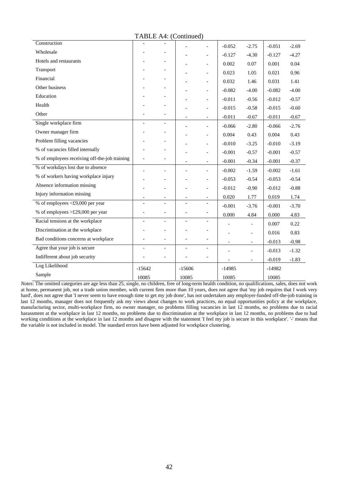#### TABLE A4: (Continued)

| Construction                                  |                          | $\overline{a}$           |                          |                                            | $-0.052$ | $-2.75$                  | $-0.051$ | $-2.69$ |
|-----------------------------------------------|--------------------------|--------------------------|--------------------------|--------------------------------------------|----------|--------------------------|----------|---------|
| Wholesale                                     |                          |                          |                          |                                            | $-0.127$ | $-4.30$                  | $-0.127$ | $-4.27$ |
| Hotels and restaurants                        |                          |                          |                          | $\overline{a}$                             | 0.002    | 0.07                     | 0.001    | 0.04    |
| Transport                                     |                          |                          |                          |                                            | 0.023    | 1.05                     | 0.021    | 0.96    |
| Financial                                     |                          |                          |                          |                                            | 0.032    | 1.46                     | 0.031    | 1.41    |
| Other business                                |                          |                          |                          | $\qquad \qquad -$                          | $-0.082$ | $-4.00$                  | $-0.082$ | $-4.00$ |
| Education                                     |                          |                          |                          | $\overline{\phantom{a}}$                   | $-0.011$ | $-0.56$                  | $-0.012$ | $-0.57$ |
| Health                                        |                          |                          |                          | $\overline{\phantom{a}}$                   | $-0.015$ | $-0.58$                  | $-0.015$ | $-0.60$ |
| Other                                         |                          |                          |                          | $\blacksquare$                             | $-0.011$ | $-0.67$                  | $-0.011$ | $-0.67$ |
| Single workplace firm                         |                          | $\overline{\phantom{a}}$ |                          |                                            | $-0.066$ | $-2.80$                  | $-0.066$ | $-2.76$ |
| Owner manager firm                            |                          | $\overline{a}$           |                          | $\overline{\phantom{0}}$                   | 0.004    | 0.43                     | 0.004    | 0.43    |
| Problem filling vacancies                     |                          |                          |                          |                                            | $-0.010$ | $-3.25$                  | $-0.010$ | $-3.19$ |
| % of vacancies filled internally              |                          |                          |                          | $\overline{a}$                             | $-0.001$ | $-0.57$                  | $-0.001$ | $-0.57$ |
| % of employees receiving off-the-job training |                          |                          |                          |                                            | $-0.001$ | $-0.34$                  | $-0.001$ | $-0.37$ |
| % of workdays lost due to absence             |                          |                          |                          | $\overline{\phantom{0}}$                   | $-0.002$ | $-1.59$                  | $-0.002$ | $-1.61$ |
| % of workers having workplace injury          |                          |                          |                          | $\overline{\phantom{0}}$                   | $-0.053$ | $-0.54$                  | $-0.053$ | $-0.54$ |
| Absence information missing                   |                          | $\overline{\phantom{a}}$ |                          | $\overline{\phantom{0}}$                   | $-0.012$ | $-0.90$                  | $-0.012$ | $-0.88$ |
| Injury information missing                    |                          |                          |                          |                                            | 0.020    | 1.77                     | 0.019    | 1.74    |
| % of employees <£9,000 per year               | $\overline{a}$           | $\overline{\phantom{a}}$ | $\overline{a}$           | $\overline{\phantom{a}}$<br>$\blacksquare$ | $-0.001$ | $-3.76$                  | $-0.001$ | $-3.70$ |
| % of employees >£29,000 per year              | $\overline{\phantom{a}}$ | $\overline{\phantom{a}}$ | $\overline{a}$           | $\overline{\phantom{a}}$                   |          |                          |          |         |
| Racial tensions at the workplace              | $\blacksquare$           | $\overline{\phantom{a}}$ | $\overline{\phantom{a}}$ | $\overline{\phantom{a}}$                   | 0.000    | 4.84                     | 0.000    | 4.83    |
| Discrimination at the workplace               |                          |                          |                          |                                            |          |                          | 0.007    | 0.22    |
| Bad conditions concerns at workplace          |                          |                          |                          |                                            |          |                          | 0.016    | 0.83    |
| Agree that your job is secure                 | $\overline{\phantom{a}}$ | $\overline{\phantom{a}}$ | $\overline{\phantom{a}}$ | $\blacksquare$                             |          | $\overline{\phantom{a}}$ | $-0.013$ | $-0.98$ |
| Indifferent about job security                |                          | $\overline{a}$           |                          | $\overline{\phantom{a}}$                   |          | $\overline{a}$           | $-0.013$ | $-1.32$ |
| Log Likelihood                                |                          |                          |                          |                                            |          | $\overline{\phantom{0}}$ | $-0.019$ | $-1.83$ |
| Sample                                        | $-15642$                 |                          | $-15606$                 |                                            | $-14985$ |                          | $-14982$ |         |
|                                               | 10085                    |                          | 10085                    |                                            | 10085    |                          | 10085    |         |

*Notes*: The omitted categories are age less than 25, single, no children, free of long-term health condition, no qualifications, sales, does not work at home, permanent job, not a trade union member, with current firm more than 10 years, does not agree that 'my job requires that I work very hard', does not agree that 'I never seem to have enough time to get my job done', has not undertaken any employer-funded off-the-job training in last 12 months, manager does not frequently ask my views about changes to work practices, no equal opportunities policy at the workplace, manufacturing sector, multi-workplace firm, no owner manager, no problems filling vacancies in last 12 months, no problems due to racial harassment at the workplace in last 12 months, no problems due to discrimination at the workplace in last 12 months, no problems due to bad working conditions at the workplace in last 12 months and disagree with the statement 'I feel my job is secure in this workplace'. '-' means that the variable is not included in model. The standard errors have been adjusted for workplace clustering.